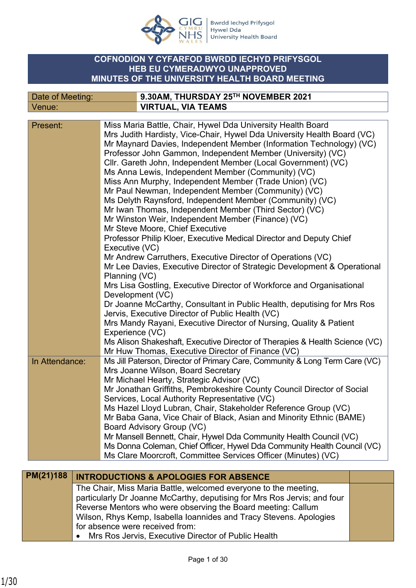

Bwrdd Iechyd Prifysgol<br>Hywel Dda<br>University Health Board

### **COFNODION Y CYFARFOD BWRDD IECHYD PRIFYSGOL HEB EU CYMERADWYO UNAPPROVED MINUTES OF THE UNIVERSITY HEALTH BOARD MEETING**

| Date of Meeting: | $^{\prime}$ 9.30AM, THURSDAY 25 $^{\rm{TH}}$ NOVEMBER 2021 |
|------------------|------------------------------------------------------------|
| Venue:           | <b>VIRTUAL, VIA TEAMS</b>                                  |

| Mrs Judith Hardisty, Vice-Chair, Hywel Dda University Health Board (VC)<br>Mr Maynard Davies, Independent Member (Information Technology) (VC)<br>Professor John Gammon, Independent Member (University) (VC)<br>Cllr. Gareth John, Independent Member (Local Government) (VC)<br>Ms Anna Lewis, Independent Member (Community) (VC)<br>Miss Ann Murphy, Independent Member (Trade Union) (VC)<br>Mr Paul Newman, Independent Member (Community) (VC)<br>Ms Delyth Raynsford, Independent Member (Community) (VC)<br>Mr Iwan Thomas, Independent Member (Third Sector) (VC)<br>Mr Winston Weir, Independent Member (Finance) (VC)<br>Mr Steve Moore, Chief Executive<br>Professor Philip Kloer, Executive Medical Director and Deputy Chief<br>Executive (VC)<br>Mr Andrew Carruthers, Executive Director of Operations (VC)<br>Mr Lee Davies, Executive Director of Strategic Development & Operational<br>Planning (VC)<br>Mrs Lisa Gostling, Executive Director of Workforce and Organisational<br>Development (VC)<br>Dr Joanne McCarthy, Consultant in Public Health, deputising for Mrs Ros<br>Jervis, Executive Director of Public Health (VC)<br>Mrs Mandy Rayani, Executive Director of Nursing, Quality & Patient<br>Experience (VC)<br>Ms Alison Shakeshaft, Executive Director of Therapies & Health Science (VC)<br>Mr Huw Thomas, Executive Director of Finance (VC)<br>Ms Jill Paterson, Director of Primary Care, Community & Long Term Care (VC)<br>In Attendance:<br>Mrs Joanne Wilson, Board Secretary<br>Mr Michael Hearty, Strategic Advisor (VC)<br>Mr Jonathan Griffiths, Pembrokeshire County Council Director of Social<br>Services, Local Authority Representative (VC)<br>Ms Hazel Lloyd Lubran, Chair, Stakeholder Reference Group (VC)<br>Mr Baba Gana, Vice Chair of Black, Asian and Minority Ethnic (BAME)<br>Board Advisory Group (VC)<br>Mr Mansell Bennett, Chair, Hywel Dda Community Health Council (VC)<br>Ms Donna Coleman, Chief Officer, Hywel Dda Community Health Council (VC)<br>Ms Clare Moorcroft, Committee Services Officer (Minutes) (VC) | Present: | Miss Maria Battle, Chair, Hywel Dda University Health Board |
|--------------------------------------------------------------------------------------------------------------------------------------------------------------------------------------------------------------------------------------------------------------------------------------------------------------------------------------------------------------------------------------------------------------------------------------------------------------------------------------------------------------------------------------------------------------------------------------------------------------------------------------------------------------------------------------------------------------------------------------------------------------------------------------------------------------------------------------------------------------------------------------------------------------------------------------------------------------------------------------------------------------------------------------------------------------------------------------------------------------------------------------------------------------------------------------------------------------------------------------------------------------------------------------------------------------------------------------------------------------------------------------------------------------------------------------------------------------------------------------------------------------------------------------------------------------------------------------------------------------------------------------------------------------------------------------------------------------------------------------------------------------------------------------------------------------------------------------------------------------------------------------------------------------------------------------------------------------------------------------------------------------------------------------------------------------------------------------------|----------|-------------------------------------------------------------|
|                                                                                                                                                                                                                                                                                                                                                                                                                                                                                                                                                                                                                                                                                                                                                                                                                                                                                                                                                                                                                                                                                                                                                                                                                                                                                                                                                                                                                                                                                                                                                                                                                                                                                                                                                                                                                                                                                                                                                                                                                                                                                            |          |                                                             |
|                                                                                                                                                                                                                                                                                                                                                                                                                                                                                                                                                                                                                                                                                                                                                                                                                                                                                                                                                                                                                                                                                                                                                                                                                                                                                                                                                                                                                                                                                                                                                                                                                                                                                                                                                                                                                                                                                                                                                                                                                                                                                            |          |                                                             |
|                                                                                                                                                                                                                                                                                                                                                                                                                                                                                                                                                                                                                                                                                                                                                                                                                                                                                                                                                                                                                                                                                                                                                                                                                                                                                                                                                                                                                                                                                                                                                                                                                                                                                                                                                                                                                                                                                                                                                                                                                                                                                            |          |                                                             |
|                                                                                                                                                                                                                                                                                                                                                                                                                                                                                                                                                                                                                                                                                                                                                                                                                                                                                                                                                                                                                                                                                                                                                                                                                                                                                                                                                                                                                                                                                                                                                                                                                                                                                                                                                                                                                                                                                                                                                                                                                                                                                            |          |                                                             |
|                                                                                                                                                                                                                                                                                                                                                                                                                                                                                                                                                                                                                                                                                                                                                                                                                                                                                                                                                                                                                                                                                                                                                                                                                                                                                                                                                                                                                                                                                                                                                                                                                                                                                                                                                                                                                                                                                                                                                                                                                                                                                            |          |                                                             |
|                                                                                                                                                                                                                                                                                                                                                                                                                                                                                                                                                                                                                                                                                                                                                                                                                                                                                                                                                                                                                                                                                                                                                                                                                                                                                                                                                                                                                                                                                                                                                                                                                                                                                                                                                                                                                                                                                                                                                                                                                                                                                            |          |                                                             |
|                                                                                                                                                                                                                                                                                                                                                                                                                                                                                                                                                                                                                                                                                                                                                                                                                                                                                                                                                                                                                                                                                                                                                                                                                                                                                                                                                                                                                                                                                                                                                                                                                                                                                                                                                                                                                                                                                                                                                                                                                                                                                            |          |                                                             |
|                                                                                                                                                                                                                                                                                                                                                                                                                                                                                                                                                                                                                                                                                                                                                                                                                                                                                                                                                                                                                                                                                                                                                                                                                                                                                                                                                                                                                                                                                                                                                                                                                                                                                                                                                                                                                                                                                                                                                                                                                                                                                            |          |                                                             |
|                                                                                                                                                                                                                                                                                                                                                                                                                                                                                                                                                                                                                                                                                                                                                                                                                                                                                                                                                                                                                                                                                                                                                                                                                                                                                                                                                                                                                                                                                                                                                                                                                                                                                                                                                                                                                                                                                                                                                                                                                                                                                            |          |                                                             |
|                                                                                                                                                                                                                                                                                                                                                                                                                                                                                                                                                                                                                                                                                                                                                                                                                                                                                                                                                                                                                                                                                                                                                                                                                                                                                                                                                                                                                                                                                                                                                                                                                                                                                                                                                                                                                                                                                                                                                                                                                                                                                            |          |                                                             |
|                                                                                                                                                                                                                                                                                                                                                                                                                                                                                                                                                                                                                                                                                                                                                                                                                                                                                                                                                                                                                                                                                                                                                                                                                                                                                                                                                                                                                                                                                                                                                                                                                                                                                                                                                                                                                                                                                                                                                                                                                                                                                            |          |                                                             |
|                                                                                                                                                                                                                                                                                                                                                                                                                                                                                                                                                                                                                                                                                                                                                                                                                                                                                                                                                                                                                                                                                                                                                                                                                                                                                                                                                                                                                                                                                                                                                                                                                                                                                                                                                                                                                                                                                                                                                                                                                                                                                            |          |                                                             |
|                                                                                                                                                                                                                                                                                                                                                                                                                                                                                                                                                                                                                                                                                                                                                                                                                                                                                                                                                                                                                                                                                                                                                                                                                                                                                                                                                                                                                                                                                                                                                                                                                                                                                                                                                                                                                                                                                                                                                                                                                                                                                            |          |                                                             |
|                                                                                                                                                                                                                                                                                                                                                                                                                                                                                                                                                                                                                                                                                                                                                                                                                                                                                                                                                                                                                                                                                                                                                                                                                                                                                                                                                                                                                                                                                                                                                                                                                                                                                                                                                                                                                                                                                                                                                                                                                                                                                            |          |                                                             |
|                                                                                                                                                                                                                                                                                                                                                                                                                                                                                                                                                                                                                                                                                                                                                                                                                                                                                                                                                                                                                                                                                                                                                                                                                                                                                                                                                                                                                                                                                                                                                                                                                                                                                                                                                                                                                                                                                                                                                                                                                                                                                            |          |                                                             |
|                                                                                                                                                                                                                                                                                                                                                                                                                                                                                                                                                                                                                                                                                                                                                                                                                                                                                                                                                                                                                                                                                                                                                                                                                                                                                                                                                                                                                                                                                                                                                                                                                                                                                                                                                                                                                                                                                                                                                                                                                                                                                            |          |                                                             |
|                                                                                                                                                                                                                                                                                                                                                                                                                                                                                                                                                                                                                                                                                                                                                                                                                                                                                                                                                                                                                                                                                                                                                                                                                                                                                                                                                                                                                                                                                                                                                                                                                                                                                                                                                                                                                                                                                                                                                                                                                                                                                            |          |                                                             |
|                                                                                                                                                                                                                                                                                                                                                                                                                                                                                                                                                                                                                                                                                                                                                                                                                                                                                                                                                                                                                                                                                                                                                                                                                                                                                                                                                                                                                                                                                                                                                                                                                                                                                                                                                                                                                                                                                                                                                                                                                                                                                            |          |                                                             |
|                                                                                                                                                                                                                                                                                                                                                                                                                                                                                                                                                                                                                                                                                                                                                                                                                                                                                                                                                                                                                                                                                                                                                                                                                                                                                                                                                                                                                                                                                                                                                                                                                                                                                                                                                                                                                                                                                                                                                                                                                                                                                            |          |                                                             |
|                                                                                                                                                                                                                                                                                                                                                                                                                                                                                                                                                                                                                                                                                                                                                                                                                                                                                                                                                                                                                                                                                                                                                                                                                                                                                                                                                                                                                                                                                                                                                                                                                                                                                                                                                                                                                                                                                                                                                                                                                                                                                            |          |                                                             |
|                                                                                                                                                                                                                                                                                                                                                                                                                                                                                                                                                                                                                                                                                                                                                                                                                                                                                                                                                                                                                                                                                                                                                                                                                                                                                                                                                                                                                                                                                                                                                                                                                                                                                                                                                                                                                                                                                                                                                                                                                                                                                            |          |                                                             |
|                                                                                                                                                                                                                                                                                                                                                                                                                                                                                                                                                                                                                                                                                                                                                                                                                                                                                                                                                                                                                                                                                                                                                                                                                                                                                                                                                                                                                                                                                                                                                                                                                                                                                                                                                                                                                                                                                                                                                                                                                                                                                            |          |                                                             |
|                                                                                                                                                                                                                                                                                                                                                                                                                                                                                                                                                                                                                                                                                                                                                                                                                                                                                                                                                                                                                                                                                                                                                                                                                                                                                                                                                                                                                                                                                                                                                                                                                                                                                                                                                                                                                                                                                                                                                                                                                                                                                            |          |                                                             |
|                                                                                                                                                                                                                                                                                                                                                                                                                                                                                                                                                                                                                                                                                                                                                                                                                                                                                                                                                                                                                                                                                                                                                                                                                                                                                                                                                                                                                                                                                                                                                                                                                                                                                                                                                                                                                                                                                                                                                                                                                                                                                            |          |                                                             |
|                                                                                                                                                                                                                                                                                                                                                                                                                                                                                                                                                                                                                                                                                                                                                                                                                                                                                                                                                                                                                                                                                                                                                                                                                                                                                                                                                                                                                                                                                                                                                                                                                                                                                                                                                                                                                                                                                                                                                                                                                                                                                            |          |                                                             |
|                                                                                                                                                                                                                                                                                                                                                                                                                                                                                                                                                                                                                                                                                                                                                                                                                                                                                                                                                                                                                                                                                                                                                                                                                                                                                                                                                                                                                                                                                                                                                                                                                                                                                                                                                                                                                                                                                                                                                                                                                                                                                            |          |                                                             |
|                                                                                                                                                                                                                                                                                                                                                                                                                                                                                                                                                                                                                                                                                                                                                                                                                                                                                                                                                                                                                                                                                                                                                                                                                                                                                                                                                                                                                                                                                                                                                                                                                                                                                                                                                                                                                                                                                                                                                                                                                                                                                            |          |                                                             |
|                                                                                                                                                                                                                                                                                                                                                                                                                                                                                                                                                                                                                                                                                                                                                                                                                                                                                                                                                                                                                                                                                                                                                                                                                                                                                                                                                                                                                                                                                                                                                                                                                                                                                                                                                                                                                                                                                                                                                                                                                                                                                            |          |                                                             |
|                                                                                                                                                                                                                                                                                                                                                                                                                                                                                                                                                                                                                                                                                                                                                                                                                                                                                                                                                                                                                                                                                                                                                                                                                                                                                                                                                                                                                                                                                                                                                                                                                                                                                                                                                                                                                                                                                                                                                                                                                                                                                            |          |                                                             |
|                                                                                                                                                                                                                                                                                                                                                                                                                                                                                                                                                                                                                                                                                                                                                                                                                                                                                                                                                                                                                                                                                                                                                                                                                                                                                                                                                                                                                                                                                                                                                                                                                                                                                                                                                                                                                                                                                                                                                                                                                                                                                            |          |                                                             |
|                                                                                                                                                                                                                                                                                                                                                                                                                                                                                                                                                                                                                                                                                                                                                                                                                                                                                                                                                                                                                                                                                                                                                                                                                                                                                                                                                                                                                                                                                                                                                                                                                                                                                                                                                                                                                                                                                                                                                                                                                                                                                            |          |                                                             |
|                                                                                                                                                                                                                                                                                                                                                                                                                                                                                                                                                                                                                                                                                                                                                                                                                                                                                                                                                                                                                                                                                                                                                                                                                                                                                                                                                                                                                                                                                                                                                                                                                                                                                                                                                                                                                                                                                                                                                                                                                                                                                            |          |                                                             |
|                                                                                                                                                                                                                                                                                                                                                                                                                                                                                                                                                                                                                                                                                                                                                                                                                                                                                                                                                                                                                                                                                                                                                                                                                                                                                                                                                                                                                                                                                                                                                                                                                                                                                                                                                                                                                                                                                                                                                                                                                                                                                            |          |                                                             |
|                                                                                                                                                                                                                                                                                                                                                                                                                                                                                                                                                                                                                                                                                                                                                                                                                                                                                                                                                                                                                                                                                                                                                                                                                                                                                                                                                                                                                                                                                                                                                                                                                                                                                                                                                                                                                                                                                                                                                                                                                                                                                            |          |                                                             |
|                                                                                                                                                                                                                                                                                                                                                                                                                                                                                                                                                                                                                                                                                                                                                                                                                                                                                                                                                                                                                                                                                                                                                                                                                                                                                                                                                                                                                                                                                                                                                                                                                                                                                                                                                                                                                                                                                                                                                                                                                                                                                            |          |                                                             |

| <b>PM(21)188</b> | <b>INTRODUCTIONS &amp; APOLOGIES FOR ABSENCE</b>                         |  |
|------------------|--------------------------------------------------------------------------|--|
|                  | The Chair, Miss Maria Battle, welcomed everyone to the meeting,          |  |
|                  | particularly Dr Joanne McCarthy, deputising for Mrs Ros Jervis; and four |  |
|                  | Reverse Mentors who were observing the Board meeting: Callum             |  |
|                  | Wilson, Rhys Kemp, Isabella Ioannides and Tracy Stevens. Apologies       |  |
|                  | for absence were received from:                                          |  |
|                  | • Mrs Ros Jervis, Executive Director of Public Health                    |  |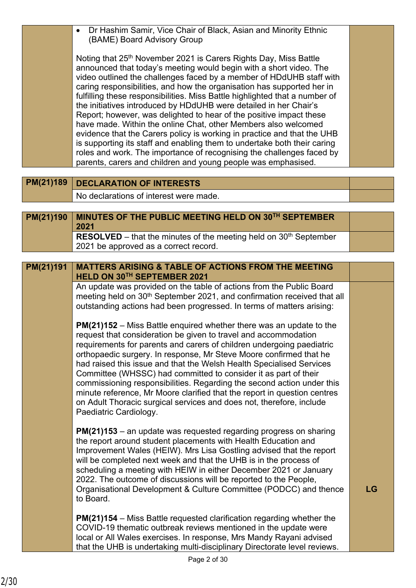| Dr Hashim Samir, Vice Chair of Black, Asian and Minority Ethnic<br>$\bullet$<br>(BAME) Board Advisory Group                                                                                                                                                                                                                                                                                                                                                                                                                                                                                                                                                                                                                                                                                                                                                                                        |                                                                                                                                                                                                                                                                                                                                                                                                                                                                                                                                                                                                                                                                                                                                                                                                                                                                                                                                                                                                                                                                                                                                                                                                                                                                                           |
|----------------------------------------------------------------------------------------------------------------------------------------------------------------------------------------------------------------------------------------------------------------------------------------------------------------------------------------------------------------------------------------------------------------------------------------------------------------------------------------------------------------------------------------------------------------------------------------------------------------------------------------------------------------------------------------------------------------------------------------------------------------------------------------------------------------------------------------------------------------------------------------------------|-------------------------------------------------------------------------------------------------------------------------------------------------------------------------------------------------------------------------------------------------------------------------------------------------------------------------------------------------------------------------------------------------------------------------------------------------------------------------------------------------------------------------------------------------------------------------------------------------------------------------------------------------------------------------------------------------------------------------------------------------------------------------------------------------------------------------------------------------------------------------------------------------------------------------------------------------------------------------------------------------------------------------------------------------------------------------------------------------------------------------------------------------------------------------------------------------------------------------------------------------------------------------------------------|
| Noting that 25 <sup>th</sup> November 2021 is Carers Rights Day, Miss Battle<br>announced that today's meeting would begin with a short video. The<br>video outlined the challenges faced by a member of HDdUHB staff with<br>caring responsibilities, and how the organisation has supported her in<br>fulfilling these responsibilities. Miss Battle highlighted that a number of<br>the initiatives introduced by HDdUHB were detailed in her Chair's<br>Report; however, was delighted to hear of the positive impact these<br>have made. Within the online Chat, other Members also welcomed<br>evidence that the Carers policy is working in practice and that the UHB<br>is supporting its staff and enabling them to undertake both their caring<br>roles and work. The importance of recognising the challenges faced by<br>parents, carers and children and young people was emphasised. |                                                                                                                                                                                                                                                                                                                                                                                                                                                                                                                                                                                                                                                                                                                                                                                                                                                                                                                                                                                                                                                                                                                                                                                                                                                                                           |
| <b>DECLARATION OF INTERESTS</b>                                                                                                                                                                                                                                                                                                                                                                                                                                                                                                                                                                                                                                                                                                                                                                                                                                                                    |                                                                                                                                                                                                                                                                                                                                                                                                                                                                                                                                                                                                                                                                                                                                                                                                                                                                                                                                                                                                                                                                                                                                                                                                                                                                                           |
| No declarations of interest were made.                                                                                                                                                                                                                                                                                                                                                                                                                                                                                                                                                                                                                                                                                                                                                                                                                                                             |                                                                                                                                                                                                                                                                                                                                                                                                                                                                                                                                                                                                                                                                                                                                                                                                                                                                                                                                                                                                                                                                                                                                                                                                                                                                                           |
|                                                                                                                                                                                                                                                                                                                                                                                                                                                                                                                                                                                                                                                                                                                                                                                                                                                                                                    |                                                                                                                                                                                                                                                                                                                                                                                                                                                                                                                                                                                                                                                                                                                                                                                                                                                                                                                                                                                                                                                                                                                                                                                                                                                                                           |
|                                                                                                                                                                                                                                                                                                                                                                                                                                                                                                                                                                                                                                                                                                                                                                                                                                                                                                    |                                                                                                                                                                                                                                                                                                                                                                                                                                                                                                                                                                                                                                                                                                                                                                                                                                                                                                                                                                                                                                                                                                                                                                                                                                                                                           |
| <b>RESOLVED</b> – that the minutes of the meeting held on $30th$ September                                                                                                                                                                                                                                                                                                                                                                                                                                                                                                                                                                                                                                                                                                                                                                                                                         |                                                                                                                                                                                                                                                                                                                                                                                                                                                                                                                                                                                                                                                                                                                                                                                                                                                                                                                                                                                                                                                                                                                                                                                                                                                                                           |
|                                                                                                                                                                                                                                                                                                                                                                                                                                                                                                                                                                                                                                                                                                                                                                                                                                                                                                    |                                                                                                                                                                                                                                                                                                                                                                                                                                                                                                                                                                                                                                                                                                                                                                                                                                                                                                                                                                                                                                                                                                                                                                                                                                                                                           |
| <b>MATTERS ARISING &amp; TABLE OF ACTIONS FROM THE MEETING</b>                                                                                                                                                                                                                                                                                                                                                                                                                                                                                                                                                                                                                                                                                                                                                                                                                                     |                                                                                                                                                                                                                                                                                                                                                                                                                                                                                                                                                                                                                                                                                                                                                                                                                                                                                                                                                                                                                                                                                                                                                                                                                                                                                           |
| HELD ON 30TH SEPTEMBER 2021                                                                                                                                                                                                                                                                                                                                                                                                                                                                                                                                                                                                                                                                                                                                                                                                                                                                        |                                                                                                                                                                                                                                                                                                                                                                                                                                                                                                                                                                                                                                                                                                                                                                                                                                                                                                                                                                                                                                                                                                                                                                                                                                                                                           |
|                                                                                                                                                                                                                                                                                                                                                                                                                                                                                                                                                                                                                                                                                                                                                                                                                                                                                                    |                                                                                                                                                                                                                                                                                                                                                                                                                                                                                                                                                                                                                                                                                                                                                                                                                                                                                                                                                                                                                                                                                                                                                                                                                                                                                           |
| outstanding actions had been progressed. In terms of matters arising:                                                                                                                                                                                                                                                                                                                                                                                                                                                                                                                                                                                                                                                                                                                                                                                                                              |                                                                                                                                                                                                                                                                                                                                                                                                                                                                                                                                                                                                                                                                                                                                                                                                                                                                                                                                                                                                                                                                                                                                                                                                                                                                                           |
|                                                                                                                                                                                                                                                                                                                                                                                                                                                                                                                                                                                                                                                                                                                                                                                                                                                                                                    |                                                                                                                                                                                                                                                                                                                                                                                                                                                                                                                                                                                                                                                                                                                                                                                                                                                                                                                                                                                                                                                                                                                                                                                                                                                                                           |
|                                                                                                                                                                                                                                                                                                                                                                                                                                                                                                                                                                                                                                                                                                                                                                                                                                                                                                    |                                                                                                                                                                                                                                                                                                                                                                                                                                                                                                                                                                                                                                                                                                                                                                                                                                                                                                                                                                                                                                                                                                                                                                                                                                                                                           |
| requirements for parents and carers of children undergoing paediatric                                                                                                                                                                                                                                                                                                                                                                                                                                                                                                                                                                                                                                                                                                                                                                                                                              |                                                                                                                                                                                                                                                                                                                                                                                                                                                                                                                                                                                                                                                                                                                                                                                                                                                                                                                                                                                                                                                                                                                                                                                                                                                                                           |
|                                                                                                                                                                                                                                                                                                                                                                                                                                                                                                                                                                                                                                                                                                                                                                                                                                                                                                    |                                                                                                                                                                                                                                                                                                                                                                                                                                                                                                                                                                                                                                                                                                                                                                                                                                                                                                                                                                                                                                                                                                                                                                                                                                                                                           |
| Committee (WHSSC) had committed to consider it as part of their                                                                                                                                                                                                                                                                                                                                                                                                                                                                                                                                                                                                                                                                                                                                                                                                                                    |                                                                                                                                                                                                                                                                                                                                                                                                                                                                                                                                                                                                                                                                                                                                                                                                                                                                                                                                                                                                                                                                                                                                                                                                                                                                                           |
|                                                                                                                                                                                                                                                                                                                                                                                                                                                                                                                                                                                                                                                                                                                                                                                                                                                                                                    |                                                                                                                                                                                                                                                                                                                                                                                                                                                                                                                                                                                                                                                                                                                                                                                                                                                                                                                                                                                                                                                                                                                                                                                                                                                                                           |
| on Adult Thoracic surgical services and does not, therefore, include                                                                                                                                                                                                                                                                                                                                                                                                                                                                                                                                                                                                                                                                                                                                                                                                                               |                                                                                                                                                                                                                                                                                                                                                                                                                                                                                                                                                                                                                                                                                                                                                                                                                                                                                                                                                                                                                                                                                                                                                                                                                                                                                           |
| Paediatric Cardiology.                                                                                                                                                                                                                                                                                                                                                                                                                                                                                                                                                                                                                                                                                                                                                                                                                                                                             |                                                                                                                                                                                                                                                                                                                                                                                                                                                                                                                                                                                                                                                                                                                                                                                                                                                                                                                                                                                                                                                                                                                                                                                                                                                                                           |
| <b>PM(21)153</b> – an update was requested regarding progress on sharing                                                                                                                                                                                                                                                                                                                                                                                                                                                                                                                                                                                                                                                                                                                                                                                                                           |                                                                                                                                                                                                                                                                                                                                                                                                                                                                                                                                                                                                                                                                                                                                                                                                                                                                                                                                                                                                                                                                                                                                                                                                                                                                                           |
| the report around student placements with Health Education and                                                                                                                                                                                                                                                                                                                                                                                                                                                                                                                                                                                                                                                                                                                                                                                                                                     |                                                                                                                                                                                                                                                                                                                                                                                                                                                                                                                                                                                                                                                                                                                                                                                                                                                                                                                                                                                                                                                                                                                                                                                                                                                                                           |
|                                                                                                                                                                                                                                                                                                                                                                                                                                                                                                                                                                                                                                                                                                                                                                                                                                                                                                    |                                                                                                                                                                                                                                                                                                                                                                                                                                                                                                                                                                                                                                                                                                                                                                                                                                                                                                                                                                                                                                                                                                                                                                                                                                                                                           |
| scheduling a meeting with HEIW in either December 2021 or January                                                                                                                                                                                                                                                                                                                                                                                                                                                                                                                                                                                                                                                                                                                                                                                                                                  |                                                                                                                                                                                                                                                                                                                                                                                                                                                                                                                                                                                                                                                                                                                                                                                                                                                                                                                                                                                                                                                                                                                                                                                                                                                                                           |
|                                                                                                                                                                                                                                                                                                                                                                                                                                                                                                                                                                                                                                                                                                                                                                                                                                                                                                    | LG                                                                                                                                                                                                                                                                                                                                                                                                                                                                                                                                                                                                                                                                                                                                                                                                                                                                                                                                                                                                                                                                                                                                                                                                                                                                                        |
| to Board.                                                                                                                                                                                                                                                                                                                                                                                                                                                                                                                                                                                                                                                                                                                                                                                                                                                                                          |                                                                                                                                                                                                                                                                                                                                                                                                                                                                                                                                                                                                                                                                                                                                                                                                                                                                                                                                                                                                                                                                                                                                                                                                                                                                                           |
|                                                                                                                                                                                                                                                                                                                                                                                                                                                                                                                                                                                                                                                                                                                                                                                                                                                                                                    |                                                                                                                                                                                                                                                                                                                                                                                                                                                                                                                                                                                                                                                                                                                                                                                                                                                                                                                                                                                                                                                                                                                                                                                                                                                                                           |
| COVID-19 thematic outbreak reviews mentioned in the update were                                                                                                                                                                                                                                                                                                                                                                                                                                                                                                                                                                                                                                                                                                                                                                                                                                    |                                                                                                                                                                                                                                                                                                                                                                                                                                                                                                                                                                                                                                                                                                                                                                                                                                                                                                                                                                                                                                                                                                                                                                                                                                                                                           |
|                                                                                                                                                                                                                                                                                                                                                                                                                                                                                                                                                                                                                                                                                                                                                                                                                                                                                                    |                                                                                                                                                                                                                                                                                                                                                                                                                                                                                                                                                                                                                                                                                                                                                                                                                                                                                                                                                                                                                                                                                                                                                                                                                                                                                           |
|                                                                                                                                                                                                                                                                                                                                                                                                                                                                                                                                                                                                                                                                                                                                                                                                                                                                                                    | PM(21)189<br>MINUTES OF THE PUBLIC MEETING HELD ON 30TH SEPTEMBER<br>PM(21)190<br>2021<br>2021 be approved as a correct record.<br>PM(21)191<br>An update was provided on the table of actions from the Public Board<br>meeting held on 30 <sup>th</sup> September 2021, and confirmation received that all<br><b>PM(21)152</b> – Miss Battle enquired whether there was an update to the<br>request that consideration be given to travel and accommodation<br>orthopaedic surgery. In response, Mr Steve Moore confirmed that he<br>had raised this issue and that the Welsh Health Specialised Services<br>commissioning responsibilities. Regarding the second action under this<br>minute reference, Mr Moore clarified that the report in question centres<br>Improvement Wales (HEIW). Mrs Lisa Gostling advised that the report<br>will be completed next week and that the UHB is in the process of<br>2022. The outcome of discussions will be reported to the People,<br>Organisational Development & Culture Committee (PODCC) and thence<br><b>PM(21)154</b> – Miss Battle requested clarification regarding whether the<br>local or All Wales exercises. In response, Mrs Mandy Rayani advised<br>that the UHB is undertaking multi-disciplinary Directorate level reviews. |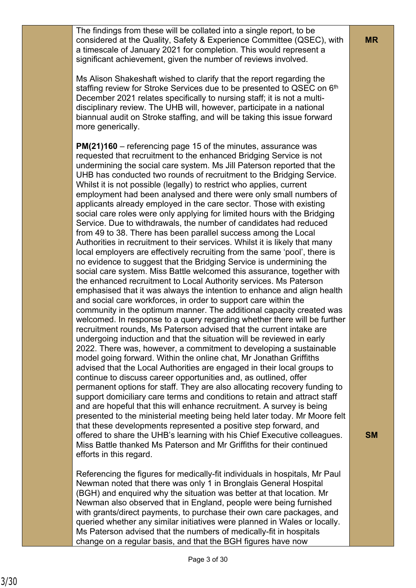The findings from these will be collated into a single report, to be considered at the Quality, Safety & Experience Committee (QSEC), with a timescale of January 2021 for completion. This would represent a significant achievement, given the number of reviews involved.

Ms Alison Shakeshaft wished to clarify that the report regarding the staffing review for Stroke Services due to be presented to QSEC on 6<sup>th</sup> December 2021 relates specifically to nursing staff; it is not a multidisciplinary review. The UHB will, however, participate in a national biannual audit on Stroke staffing, and will be taking this issue forward more generically.

**PM(21)160** – referencing page 15 of the minutes, assurance was requested that recruitment to the enhanced Bridging Service is not undermining the social care system. Ms Jill Paterson reported that the UHB has conducted two rounds of recruitment to the Bridging Service. Whilst it is not possible (legally) to restrict who applies, current employment had been analysed and there were only small numbers of applicants already employed in the care sector. Those with existing social care roles were only applying for limited hours with the Bridging Service. Due to withdrawals, the number of candidates had reduced from 49 to 38. There has been parallel success among the Local Authorities in recruitment to their services. Whilst it is likely that many local employers are effectively recruiting from the same 'pool', there is no evidence to suggest that the Bridging Service is undermining the social care system. Miss Battle welcomed this assurance, together with the enhanced recruitment to Local Authority services. Ms Paterson emphasised that it was always the intention to enhance and align health and social care workforces, in order to support care within the community in the optimum manner. The additional capacity created was welcomed. In response to a query regarding whether there will be further recruitment rounds, Ms Paterson advised that the current intake are undergoing induction and that the situation will be reviewed in early 2022. There was, however, a commitment to developing a sustainable model going forward. Within the online chat, Mr Jonathan Griffiths advised that the Local Authorities are engaged in their local groups to continue to discuss career opportunities and, as outlined, offer permanent options for staff. They are also allocating recovery funding to support domiciliary care terms and conditions to retain and attract staff and are hopeful that this will enhance recruitment. A survey is being presented to the ministerial meeting being held later today. Mr Moore felt that these developments represented a positive step forward, and offered to share the UHB's learning with his Chief Executive colleagues. Miss Battle thanked Ms Paterson and Mr Griffiths for their continued efforts in this regard.

Referencing the figures for medically-fit individuals in hospitals, Mr Paul Newman noted that there was only 1 in Bronglais General Hospital (BGH) and enquired why the situation was better at that location. Mr Newman also observed that in England, people were being furnished with grants/direct payments, to purchase their own care packages, and queried whether any similar initiatives were planned in Wales or locally. Ms Paterson advised that the numbers of medically-fit in hospitals change on a regular basis, and that the BGH figures have now

**SM**

**MR**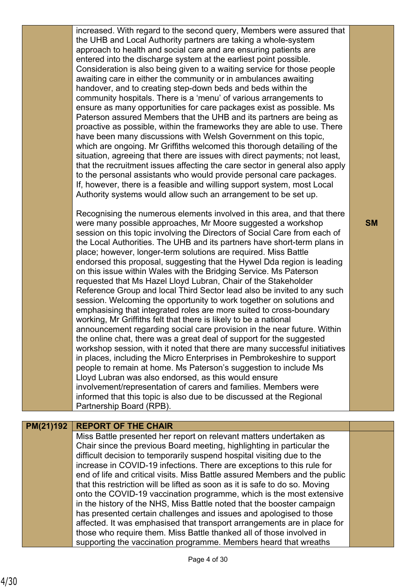Recognising the numerous elements involved in this area, and that there were many possible approaches, Mr Moore suggested a workshop session on this topic involving the Directors of Social Care from each of the Local Authorities. The UHB and its partners have short-term plans in place; however, longer-term solutions are required. Miss Battle endorsed this proposal, suggesting that the Hywel Dda region is leading on this issue within Wales with the Bridging Service. Ms Paterson requested that Ms Hazel Lloyd Lubran, Chair of the Stakeholder Reference Group and local Third Sector lead also be invited to any such session. Welcoming the opportunity to work together on solutions and emphasising that integrated roles are more suited to cross-boundary working, Mr Griffiths felt that there is likely to be a national announcement regarding social care provision in the near future. Within the online chat, there was a great deal of support for the suggested workshop session, with it noted that there are many successful initiatives in places, including the Micro Enterprises in Pembrokeshire to support people to remain at home. Ms Paterson's suggestion to include Ms Lloyd Lubran was also endorsed, as this would ensure involvement/representation of carers and families. Members were informed that this topic is also due to be discussed at the Regional Partnership Board (RPB).

# **PM(21)192 REPORT OF THE CHAIR**

Miss Battle presented her report on relevant matters undertaken as Chair since the previous Board meeting, highlighting in particular the difficult decision to temporarily suspend hospital visiting due to the increase in COVID-19 infections. There are exceptions to this rule for end of life and critical visits. Miss Battle assured Members and the public that this restriction will be lifted as soon as it is safe to do so. Moving onto the COVID-19 vaccination programme, which is the most extensive in the history of the NHS, Miss Battle noted that the booster campaign has presented certain challenges and issues and apologised to those affected. It was emphasised that transport arrangements are in place for those who require them. Miss Battle thanked all of those involved in supporting the vaccination programme. Members heard that wreaths

### **SM**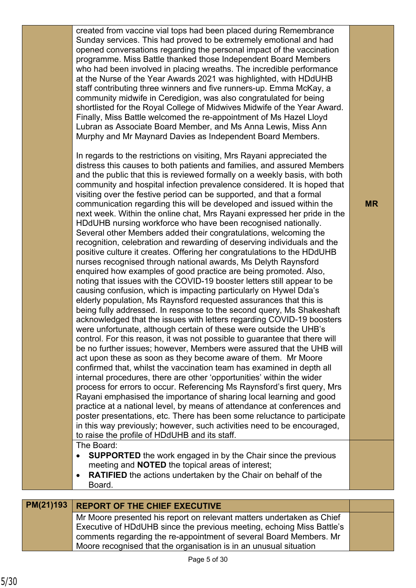| PM(21)193 | recognition, celebration and rewarding of deserving individuals and the<br>positive culture it creates. Offering her congratulations to the HDdUHB<br>nurses recognised through national awards, Ms Delyth Raynsford<br>enquired how examples of good practice are being promoted. Also,<br>noting that issues with the COVID-19 booster letters still appear to be<br>causing confusion, which is impacting particularly on Hywel Dda's<br>elderly population, Ms Raynsford requested assurances that this is<br>being fully addressed. In response to the second query, Ms Shakeshaft<br>acknowledged that the issues with letters regarding COVID-19 boosters<br>were unfortunate, although certain of these were outside the UHB's<br>control. For this reason, it was not possible to guarantee that there will<br>be no further issues; however, Members were assured that the UHB will<br>act upon these as soon as they become aware of them. Mr Moore<br>confirmed that, whilst the vaccination team has examined in depth all<br>internal procedures, there are other 'opportunities' within the wider<br>process for errors to occur. Referencing Ms Raynsford's first query, Mrs<br>Rayani emphasised the importance of sharing local learning and good<br>practice at a national level, by means of attendance at conferences and<br>poster presentations, etc. There has been some reluctance to participate<br>in this way previously; however, such activities need to be encouraged,<br>to raise the profile of HDdUHB and its staff.<br>The Board:<br><b>SUPPORTED</b> the work engaged in by the Chair since the previous<br>meeting and <b>NOTED</b> the topical areas of interest;<br><b>RATIFIED</b> the actions undertaken by the Chair on behalf of the<br>Board.<br><b>REPORT OF THE CHIEF EXECUTIVE</b><br>Mr Moore presented his report on relevant matters undertaken as Chief<br>Executive of HDdUHB since the previous meeting, echoing Miss Battle's<br>comments regarding the re-appointment of several Board Members. Mr<br>Moore recognised that the organisation is in an unusual situation |           |
|-----------|--------------------------------------------------------------------------------------------------------------------------------------------------------------------------------------------------------------------------------------------------------------------------------------------------------------------------------------------------------------------------------------------------------------------------------------------------------------------------------------------------------------------------------------------------------------------------------------------------------------------------------------------------------------------------------------------------------------------------------------------------------------------------------------------------------------------------------------------------------------------------------------------------------------------------------------------------------------------------------------------------------------------------------------------------------------------------------------------------------------------------------------------------------------------------------------------------------------------------------------------------------------------------------------------------------------------------------------------------------------------------------------------------------------------------------------------------------------------------------------------------------------------------------------------------------------------------------------------------------------------------------------------------------------------------------------------------------------------------------------------------------------------------------------------------------------------------------------------------------------------------------------------------------------------------------------------------------------------------------------------------------------------------------------------------------------------------------------------------------------------------------|-----------|
|           | In regards to the restrictions on visiting, Mrs Rayani appreciated the<br>distress this causes to both patients and families, and assured Members<br>and the public that this is reviewed formally on a weekly basis, with both<br>community and hospital infection prevalence considered. It is hoped that<br>visiting over the festive period can be supported, and that a formal<br>communication regarding this will be developed and issued within the<br>next week. Within the online chat, Mrs Rayani expressed her pride in the<br>HDdUHB nursing workforce who have been recognised nationally.<br>Several other Members added their congratulations, welcoming the                                                                                                                                                                                                                                                                                                                                                                                                                                                                                                                                                                                                                                                                                                                                                                                                                                                                                                                                                                                                                                                                                                                                                                                                                                                                                                                                                                                                                                                   | <b>MR</b> |
|           | created from vaccine vial tops had been placed during Remembrance<br>Sunday services. This had proved to be extremely emotional and had<br>opened conversations regarding the personal impact of the vaccination<br>programme. Miss Battle thanked those Independent Board Members<br>who had been involved in placing wreaths. The incredible performance<br>at the Nurse of the Year Awards 2021 was highlighted, with HDdUHB<br>staff contributing three winners and five runners-up. Emma McKay, a<br>community midwife in Ceredigion, was also congratulated for being<br>shortlisted for the Royal College of Midwives Midwife of the Year Award.<br>Finally, Miss Battle welcomed the re-appointment of Ms Hazel Lloyd<br>Lubran as Associate Board Member, and Ms Anna Lewis, Miss Ann<br>Murphy and Mr Maynard Davies as Independent Board Members.                                                                                                                                                                                                                                                                                                                                                                                                                                                                                                                                                                                                                                                                                                                                                                                                                                                                                                                                                                                                                                                                                                                                                                                                                                                                   |           |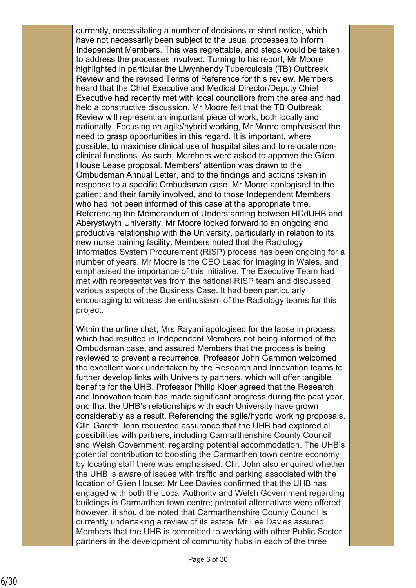currently, necessitating a number of decisions at short notice, which have not necessarily been subject to the usual processes to inform Independent Members. This was regrettable, and steps would be taken to address the processes involved. Turning to his report, Mr Moore highlighted in particular the Llwynhendy Tuberculosis (TB) Outbreak Review and the revised Terms of Reference for this review. Members heard that the Chief Executive and Medical Director/Deputy Chief Executive had recently met with local councillors from the area and had held a constructive discussion. Mr Moore felt that the TB Outbreak Review will represent an important piece of work, both locally and nationally. Focusing on agile/hybrid working, Mr Moore emphasised the need to grasp opportunities in this regard. It is important, where possible, to maximise clinical use of hospital sites and to relocate nonclinical functions. As such, Members were asked to approve the Glien House Lease proposal. Members' attention was drawn to the Ombudsman Annual Letter, and to the findings and actions taken in response to a specific Ombudsman case. Mr Moore apologised to the patient and their family involved, and to those Independent Members who had not been informed of this case at the appropriate time. Referencing the Memorandum of Understanding between HDdUHB and Aberystwyth University, Mr Moore looked forward to an ongoing and productive relationship with the University, particularly in relation to its new nurse training facility. Members noted that the Radiology Informatics System Procurement (RISP) process has been ongoing for a number of years. Mr Moore is the CEO Lead for Imaging in Wales, and emphasised the importance of this initiative. The Executive Team had met with representatives from the national RISP team and discussed various aspects of the Business Case. It had been particularly encouraging to witness the enthusiasm of the Radiology teams for this project.

Within the online chat, Mrs Rayani apologised for the lapse in process which had resulted in Independent Members not being informed of the Ombudsman case, and assured Members that the process is being reviewed to prevent a recurrence. Professor John Gammon welcomed the excellent work undertaken by the Research and Innovation teams to further develop links with University partners, which will offer tangible benefits for the UHB. Professor Philip Kloer agreed that the Research and Innovation team has made significant progress during the past year, and that the UHB's relationships with each University have grown considerably as a result. Referencing the agile/hybrid working proposals, Cllr. Gareth John requested assurance that the UHB had explored all possibilities with partners, including Carmarthenshire County Council and Welsh Government, regarding potential accommodation. The UHB's potential contribution to boosting the Carmarthen town centre economy by locating staff there was emphasised. Cllr. John also enquired whether the UHB is aware of issues with traffic and parking associated with the location of Glien House. Mr Lee Davies confirmed that the UHB has engaged with both the Local Authority and Welsh Government regarding buildings in Carmarthen town centre; potential alternatives were offered, however, it should be noted that Carmarthenshire County Council is currently undertaking a review of its estate. Mr Lee Davies assured Members that the UHB is committed to working with other Public Sector partners in the development of community hubs in each of the three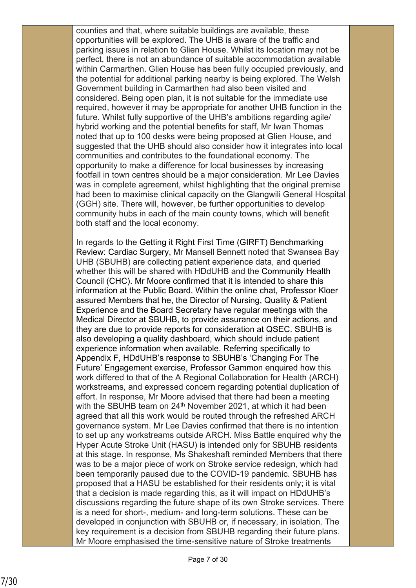counties and that, where suitable buildings are available, these opportunities will be explored. The UHB is aware of the traffic and parking issues in relation to Glien House. Whilst its location may not be perfect, there is not an abundance of suitable accommodation available within Carmarthen. Glien House has been fully occupied previously, and the potential for additional parking nearby is being explored. The Welsh Government building in Carmarthen had also been visited and considered. Being open plan, it is not suitable for the immediate use required, however it may be appropriate for another UHB function in the future. Whilst fully supportive of the UHB's ambitions regarding agile/ hybrid working and the potential benefits for staff, Mr Iwan Thomas noted that up to 100 desks were being proposed at Glien House, and suggested that the UHB should also consider how it integrates into local communities and contributes to the foundational economy. The opportunity to make a difference for local businesses by increasing footfall in town centres should be a major consideration. Mr Lee Davies was in complete agreement, whilst highlighting that the original premise had been to maximise clinical capacity on the Glangwili General Hospital (GGH) site. There will, however, be further opportunities to develop community hubs in each of the main county towns, which will benefit both staff and the local economy.

In regards to the Getting it Right First Time (GIRFT) Benchmarking Review: Cardiac Surgery, Mr Mansell Bennett noted that Swansea Bay UHB (SBUHB) are collecting patient experience data, and queried whether this will be shared with HDdUHB and the Community Health Council (CHC). Mr Moore confirmed that it is intended to share this information at the Public Board. Within the online chat, Professor Kloer assured Members that he, the Director of Nursing, Quality & Patient Experience and the Board Secretary have regular meetings with the Medical Director at SBUHB, to provide assurance on their actions, and they are due to provide reports for consideration at QSEC. SBUHB is also developing a quality dashboard, which should include patient experience information when available. Referring specifically to Appendix F, HDdUHB's response to SBUHB's 'Changing For The Future' Engagement exercise, Professor Gammon enquired how this work differed to that of the A Regional Collaboration for Health (ARCH) workstreams, and expressed concern regarding potential duplication of effort. In response, Mr Moore advised that there had been a meeting with the SBUHB team on 24<sup>th</sup> November 2021, at which it had been agreed that all this work would be routed through the refreshed ARCH governance system. Mr Lee Davies confirmed that there is no intention to set up any workstreams outside ARCH. Miss Battle enquired why the Hyper Acute Stroke Unit (HASU) is intended only for SBUHB residents at this stage. In response, Ms Shakeshaft reminded Members that there was to be a major piece of work on Stroke service redesign, which had been temporarily paused due to the COVID-19 pandemic. SBUHB has proposed that a HASU be established for their residents only; it is vital that a decision is made regarding this, as it will impact on HDdUHB's discussions regarding the future shape of its own Stroke services. There is a need for short-, medium- and long-term solutions. These can be developed in conjunction with SBUHB or, if necessary, in isolation. The key requirement is a decision from SBUHB regarding their future plans. Mr Moore emphasised the time-sensitive nature of Stroke treatments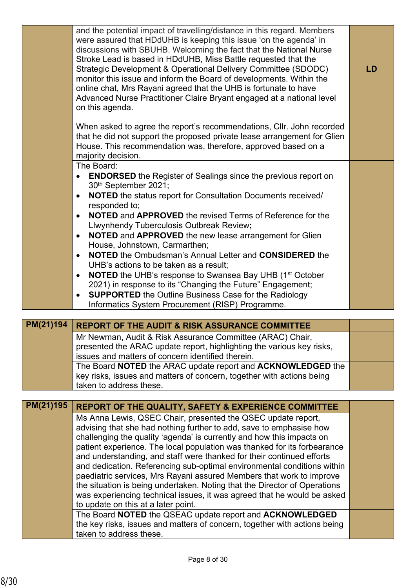|           | and the potential impact of travelling/distance in this regard. Members<br>were assured that HDdUHB is keeping this issue 'on the agenda' in<br>discussions with SBUHB. Welcoming the fact that the National Nurse<br>Stroke Lead is based in HDdUHB, Miss Battle requested that the<br>Strategic Development & Operational Delivery Committee (SDODC)<br>monitor this issue and inform the Board of developments. Within the<br>online chat, Mrs Rayani agreed that the UHB is fortunate to have | <b>LD</b> |
|-----------|---------------------------------------------------------------------------------------------------------------------------------------------------------------------------------------------------------------------------------------------------------------------------------------------------------------------------------------------------------------------------------------------------------------------------------------------------------------------------------------------------|-----------|
|           | Advanced Nurse Practitioner Claire Bryant engaged at a national level<br>on this agenda.                                                                                                                                                                                                                                                                                                                                                                                                          |           |
|           | When asked to agree the report's recommendations, Cllr. John recorded<br>that he did not support the proposed private lease arrangement for Glien<br>House. This recommendation was, therefore, approved based on a<br>majority decision.                                                                                                                                                                                                                                                         |           |
|           | The Board:                                                                                                                                                                                                                                                                                                                                                                                                                                                                                        |           |
|           | <b>ENDORSED</b> the Register of Sealings since the previous report on<br>$\bullet$<br>30th September 2021;                                                                                                                                                                                                                                                                                                                                                                                        |           |
|           | NOTED the status report for Consultation Documents received/<br>$\bullet$                                                                                                                                                                                                                                                                                                                                                                                                                         |           |
|           | responded to;                                                                                                                                                                                                                                                                                                                                                                                                                                                                                     |           |
|           | <b>NOTED and APPROVED</b> the revised Terms of Reference for the<br>$\bullet$                                                                                                                                                                                                                                                                                                                                                                                                                     |           |
|           | Llwynhendy Tuberculosis Outbreak Review;<br>NOTED and APPROVED the new lease arrangement for Glien                                                                                                                                                                                                                                                                                                                                                                                                |           |
|           | $\bullet$<br>House, Johnstown, Carmarthen;                                                                                                                                                                                                                                                                                                                                                                                                                                                        |           |
|           | <b>NOTED</b> the Ombudsman's Annual Letter and <b>CONSIDERED</b> the<br>$\bullet$                                                                                                                                                                                                                                                                                                                                                                                                                 |           |
|           | UHB's actions to be taken as a result;<br><b>NOTED</b> the UHB's response to Swansea Bay UHB (1 <sup>st</sup> October<br>$\bullet$                                                                                                                                                                                                                                                                                                                                                                |           |
|           | 2021) in response to its "Changing the Future" Engagement;                                                                                                                                                                                                                                                                                                                                                                                                                                        |           |
|           | <b>SUPPORTED</b> the Outline Business Case for the Radiology<br>$\bullet$                                                                                                                                                                                                                                                                                                                                                                                                                         |           |
|           | Informatics System Procurement (RISP) Programme.                                                                                                                                                                                                                                                                                                                                                                                                                                                  |           |
|           |                                                                                                                                                                                                                                                                                                                                                                                                                                                                                                   |           |
| PM(21)194 | <b>REPORT OF THE AUDIT &amp; RISK ASSURANCE COMMITTEE</b>                                                                                                                                                                                                                                                                                                                                                                                                                                         |           |
|           | Mr Newman, Audit & Risk Assurance Committee (ARAC) Chair,                                                                                                                                                                                                                                                                                                                                                                                                                                         |           |
|           | presented the ARAC update report, highlighting the various key risks,<br>issues and matters of concern identified therein.                                                                                                                                                                                                                                                                                                                                                                        |           |
|           |                                                                                                                                                                                                                                                                                                                                                                                                                                                                                                   |           |

The Board **NOTED** the ARAC update report and **ACKNOWLEDGED** the key risks, issues and matters of concern, together with actions being taken to address these.

| <b>PM(21)195</b> | REPORT OF THE QUALITY, SAFETY & EXPERIENCE COMMITTEE                      |  |
|------------------|---------------------------------------------------------------------------|--|
|                  | Ms Anna Lewis, QSEC Chair, presented the QSEC update report,              |  |
|                  | advising that she had nothing further to add, save to emphasise how       |  |
|                  | challenging the quality 'agenda' is currently and how this impacts on     |  |
|                  | patient experience. The local population was thanked for its forbearance  |  |
|                  | and understanding, and staff were thanked for their continued efforts     |  |
|                  | and dedication. Referencing sub-optimal environmental conditions within   |  |
|                  | paediatric services, Mrs Rayani assured Members that work to improve      |  |
|                  | the situation is being undertaken. Noting that the Director of Operations |  |
|                  | was experiencing technical issues, it was agreed that he would be asked   |  |
|                  | to update on this at a later point.                                       |  |
|                  | The Board NOTED the QSEAC update report and ACKNOWLEDGED                  |  |
|                  | the key risks, issues and matters of concern, together with actions being |  |
|                  | taken to address these.                                                   |  |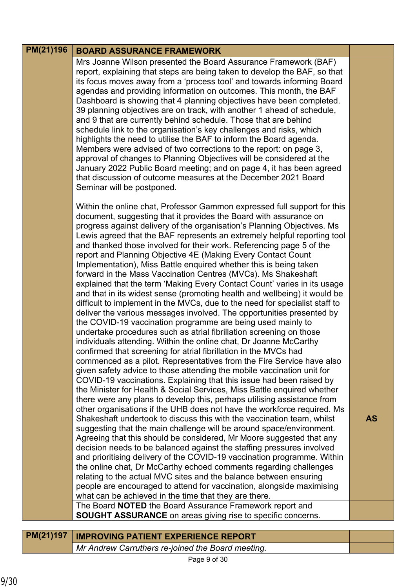#### **BOARD ASSURANCE FRAMEWORK PM(21)196**

Mrs Joanne Wilson presented the Board Assurance Framework (BAF) report, explaining that steps are being taken to develop the BAF, so that its focus moves away from a 'process tool' and towards informing Board agendas and providing information on outcomes. This month, the BAF Dashboard is showing that 4 planning objectives have been completed. 39 planning objectives are on track, with another 1 ahead of schedule, and 9 that are currently behind schedule. Those that are behind schedule link to the organisation's key challenges and risks, which highlights the need to utilise the BAF to inform the Board agenda. Members were advised of two corrections to the report: on page 3, approval of changes to Planning Objectives will be considered at the January 2022 Public Board meeting; and on page 4, it has been agreed that discussion of outcome measures at the December 2021 Board Seminar will be postponed.

Within the online chat, Professor Gammon expressed full support for this document, suggesting that it provides the Board with assurance on progress against delivery of the organisation's Planning Objectives. Ms Lewis agreed that the BAF represents an extremely helpful reporting tool and thanked those involved for their work. Referencing page 5 of the report and Planning Objective 4E (Making Every Contact Count Implementation), Miss Battle enquired whether this is being taken forward in the Mass Vaccination Centres (MVCs). Ms Shakeshaft explained that the term 'Making Every Contact Count' varies in its usage and that in its widest sense (promoting health and wellbeing) it would be difficult to implement in the MVCs, due to the need for specialist staff to deliver the various messages involved. The opportunities presented by the COVID-19 vaccination programme are being used mainly to undertake procedures such as atrial fibrillation screening on those individuals attending. Within the online chat, Dr Joanne McCarthy confirmed that screening for atrial fibrillation in the MVCs had commenced as a pilot. Representatives from the Fire Service have also given safety advice to those attending the mobile vaccination unit for COVID-19 vaccinations. Explaining that this issue had been raised by the Minister for Health & Social Services, Miss Battle enquired whether there were any plans to develop this, perhaps utilising assistance from other organisations if the UHB does not have the workforce required. Ms Shakeshaft undertook to discuss this with the vaccination team, whilst suggesting that the main challenge will be around space/environment. Agreeing that this should be considered, Mr Moore suggested that any decision needs to be balanced against the staffing pressures involved and prioritising delivery of the COVID-19 vaccination programme. Within the online chat, Dr McCarthy echoed comments regarding challenges relating to the actual MVC sites and the balance between ensuring people are encouraged to attend for vaccination, alongside maximising what can be achieved in the time that they are there. The Board **NOTED** the Board Assurance Framework report and

**AS**

**SOUGHT ASSURANCE** on areas giving rise to specific concerns.

| PM(21)197 | <b>IMPROVING PATIENT EXPERIENCE REPORT</b>        |  |
|-----------|---------------------------------------------------|--|
|           | Mr Andrew Carruthers re-joined the Board meeting. |  |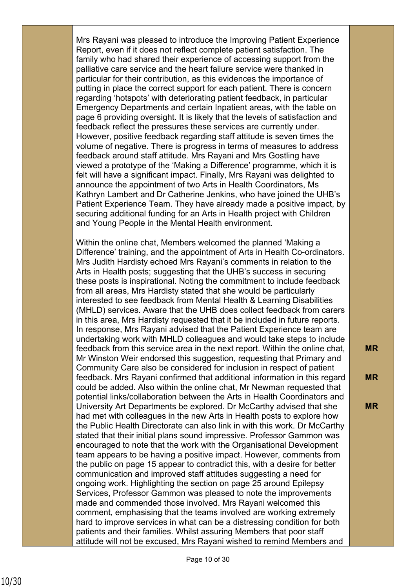Mrs Rayani was pleased to introduce the Improving Patient Experience Report, even if it does not reflect complete patient satisfaction. The family who had shared their experience of accessing support from the palliative care service and the heart failure service were thanked in particular for their contribution, as this evidences the importance of putting in place the correct support for each patient. There is concern regarding 'hotspots' with deteriorating patient feedback, in particular Emergency Departments and certain Inpatient areas, with the table on page 6 providing oversight. It is likely that the levels of satisfaction and feedback reflect the pressures these services are currently under. However, positive feedback regarding staff attitude is seven times the volume of negative. There is progress in terms of measures to address feedback around staff attitude. Mrs Rayani and Mrs Gostling have viewed a prototype of the 'Making a Difference' programme, which it is felt will have a significant impact. Finally, Mrs Rayani was delighted to announce the appointment of two Arts in Health Coordinators, Ms Kathryn Lambert and Dr Catherine Jenkins, who have joined the UHB's Patient Experience Team. They have already made a positive impact, by securing additional funding for an Arts in Health project with Children and Young People in the Mental Health environment.

Within the online chat, Members welcomed the planned 'Making a Difference' training, and the appointment of Arts in Health Co-ordinators. Mrs Judith Hardisty echoed Mrs Rayani's comments in relation to the Arts in Health posts; suggesting that the UHB's success in securing these posts is inspirational. Noting the commitment to include feedback from all areas, Mrs Hardisty stated that she would be particularly interested to see feedback from Mental Health & Learning Disabilities (MHLD) services. Aware that the UHB does collect feedback from carers in this area, Mrs Hardisty requested that it be included in future reports. In response, Mrs Rayani advised that the Patient Experience team are undertaking work with MHLD colleagues and would take steps to include feedback from this service area in the next report. Within the online chat, Mr Winston Weir endorsed this suggestion, requesting that Primary and Community Care also be considered for inclusion in respect of patient feedback. Mrs Rayani confirmed that additional information in this regard could be added. Also within the online chat, Mr Newman requested that potential links/collaboration between the Arts in Health Coordinators and University Art Departments be explored. Dr McCarthy advised that she had met with colleagues in the new Arts in Health posts to explore how the Public Health Directorate can also link in with this work. Dr McCarthy stated that their initial plans sound impressive. Professor Gammon was encouraged to note that the work with the Organisational Development team appears to be having a positive impact. However, comments from the public on page 15 appear to contradict this, with a desire for better communication and improved staff attitudes suggesting a need for ongoing work. Highlighting the section on page 25 around Epilepsy Services, Professor Gammon was pleased to note the improvements made and commended those involved. Mrs Rayani welcomed this comment, emphasising that the teams involved are working extremely hard to improve services in what can be a distressing condition for both patients and their families. Whilst assuring Members that poor staff attitude will not be excused, Mrs Rayani wished to remind Members and

**MR**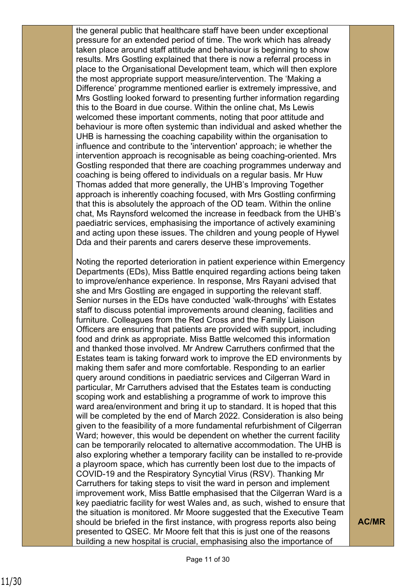the general public that healthcare staff have been under exceptional pressure for an extended period of time. The work which has already taken place around staff attitude and behaviour is beginning to show results. Mrs Gostling explained that there is now a referral process in place to the Organisational Development team, which will then explore the most appropriate support measure/intervention. The 'Making a Difference' programme mentioned earlier is extremely impressive, and Mrs Gostling looked forward to presenting further information regarding this to the Board in due course. Within the online chat, Ms Lewis welcomed these important comments, noting that poor attitude and behaviour is more often systemic than individual and asked whether the UHB is harnessing the coaching capability within the organisation to influence and contribute to the 'intervention' approach; ie whether the intervention approach is recognisable as being coaching-oriented. Mrs Gostling responded that there are coaching programmes underway and coaching is being offered to individuals on a regular basis. Mr Huw Thomas added that more generally, the UHB's Improving Together approach is inherently coaching focused, with Mrs Gostling confirming that this is absolutely the approach of the OD team. Within the online chat, Ms Raynsford welcomed the increase in feedback from the UHB's paediatric services, emphasising the importance of actively examining and acting upon these issues. The children and young people of Hywel Dda and their parents and carers deserve these improvements.

Noting the reported deterioration in patient experience within Emergency Departments (EDs), Miss Battle enquired regarding actions being taken to improve/enhance experience. In response, Mrs Rayani advised that she and Mrs Gostling are engaged in supporting the relevant staff. Senior nurses in the EDs have conducted 'walk-throughs' with Estates staff to discuss potential improvements around cleaning, facilities and furniture. Colleagues from the Red Cross and the Family Liaison Officers are ensuring that patients are provided with support, including food and drink as appropriate. Miss Battle welcomed this information and thanked those involved. Mr Andrew Carruthers confirmed that the Estates team is taking forward work to improve the ED environments by making them safer and more comfortable. Responding to an earlier query around conditions in paediatric services and Cilgerran Ward in particular, Mr Carruthers advised that the Estates team is conducting scoping work and establishing a programme of work to improve this ward area/environment and bring it up to standard. It is hoped that this will be completed by the end of March 2022. Consideration is also being given to the feasibility of a more fundamental refurbishment of Cilgerran Ward; however, this would be dependent on whether the current facility can be temporarily relocated to alternative accommodation. The UHB is also exploring whether a temporary facility can be installed to re-provide a playroom space, which has currently been lost due to the impacts of COVID-19 and the Respiratory Syncytial Virus (RSV). Thanking Mr Carruthers for taking steps to visit the ward in person and implement improvement work, Miss Battle emphasised that the Cilgerran Ward is a key paediatric facility for west Wales and, as such, wished to ensure that the situation is monitored. Mr Moore suggested that the Executive Team should be briefed in the first instance, with progress reports also being presented to QSEC. Mr Moore felt that this is just one of the reasons building a new hospital is crucial, emphasising also the importance of

**AC/MR**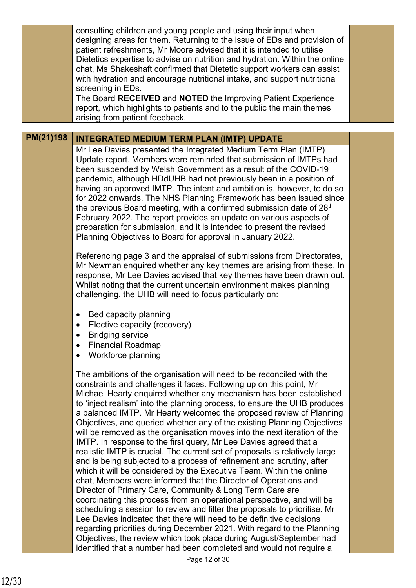|           | consulting children and young people and using their input when<br>designing areas for them. Returning to the issue of EDs and provision of<br>patient refreshments, Mr Moore advised that it is intended to utilise<br>Dietetics expertise to advise on nutrition and hydration. Within the online<br>chat, Ms Shakeshaft confirmed that Dietetic support workers can assist<br>with hydration and encourage nutritional intake, and support nutritional<br>screening in EDs.                                                                                                                                                                                                                                                                                                                                                                                                                                                                                                                                                                                                                                                                                                                                                                                                                                                                                                                                           |  |
|-----------|--------------------------------------------------------------------------------------------------------------------------------------------------------------------------------------------------------------------------------------------------------------------------------------------------------------------------------------------------------------------------------------------------------------------------------------------------------------------------------------------------------------------------------------------------------------------------------------------------------------------------------------------------------------------------------------------------------------------------------------------------------------------------------------------------------------------------------------------------------------------------------------------------------------------------------------------------------------------------------------------------------------------------------------------------------------------------------------------------------------------------------------------------------------------------------------------------------------------------------------------------------------------------------------------------------------------------------------------------------------------------------------------------------------------------|--|
|           | The Board RECEIVED and NOTED the Improving Patient Experience<br>report, which highlights to patients and to the public the main themes<br>arising from patient feedback.                                                                                                                                                                                                                                                                                                                                                                                                                                                                                                                                                                                                                                                                                                                                                                                                                                                                                                                                                                                                                                                                                                                                                                                                                                                |  |
|           |                                                                                                                                                                                                                                                                                                                                                                                                                                                                                                                                                                                                                                                                                                                                                                                                                                                                                                                                                                                                                                                                                                                                                                                                                                                                                                                                                                                                                          |  |
| PM(21)198 | <b>INTEGRATED MEDIUM TERM PLAN (IMTP) UPDATE</b><br>Mr Lee Davies presented the Integrated Medium Term Plan (IMTP)<br>Update report. Members were reminded that submission of IMTPs had<br>been suspended by Welsh Government as a result of the COVID-19<br>pandemic, although HDdUHB had not previously been in a position of<br>having an approved IMTP. The intent and ambition is, however, to do so<br>for 2022 onwards. The NHS Planning Framework has been issued since<br>the previous Board meeting, with a confirmed submission date of 28th<br>February 2022. The report provides an update on various aspects of<br>preparation for submission, and it is intended to present the revised<br>Planning Objectives to Board for approval in January 2022.                                                                                                                                                                                                                                                                                                                                                                                                                                                                                                                                                                                                                                                     |  |
|           | Referencing page 3 and the appraisal of submissions from Directorates,<br>Mr Newman enquired whether any key themes are arising from these. In<br>response, Mr Lee Davies advised that key themes have been drawn out.<br>Whilst noting that the current uncertain environment makes planning<br>challenging, the UHB will need to focus particularly on:<br>Bed capacity planning<br>$\bullet$<br>Elective capacity (recovery)<br><b>Bridging service</b><br><b>Financial Roadmap</b><br>$\bullet$<br>Workforce planning<br>$\bullet$                                                                                                                                                                                                                                                                                                                                                                                                                                                                                                                                                                                                                                                                                                                                                                                                                                                                                   |  |
|           | The ambitions of the organisation will need to be reconciled with the<br>constraints and challenges it faces. Following up on this point, Mr<br>Michael Hearty enquired whether any mechanism has been established<br>to 'inject realism' into the planning process, to ensure the UHB produces<br>a balanced IMTP. Mr Hearty welcomed the proposed review of Planning<br>Objectives, and queried whether any of the existing Planning Objectives<br>will be removed as the organisation moves into the next iteration of the<br>IMTP. In response to the first query, Mr Lee Davies agreed that a<br>realistic IMTP is crucial. The current set of proposals is relatively large<br>and is being subjected to a process of refinement and scrutiny, after<br>which it will be considered by the Executive Team. Within the online<br>chat, Members were informed that the Director of Operations and<br>Director of Primary Care, Community & Long Term Care are<br>coordinating this process from an operational perspective, and will be<br>scheduling a session to review and filter the proposals to prioritise. Mr<br>Lee Davies indicated that there will need to be definitive decisions<br>regarding priorities during December 2021. With regard to the Planning<br>Objectives, the review which took place during August/September had<br>identified that a number had been completed and would not require a |  |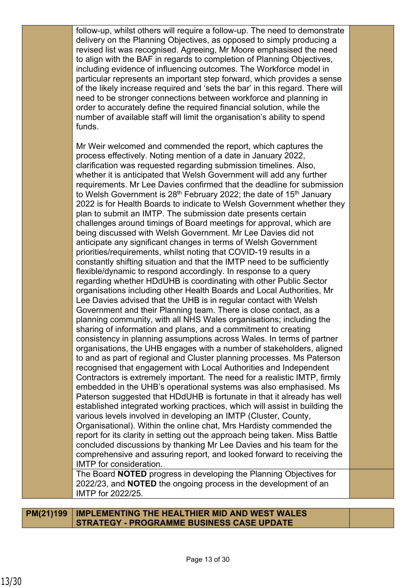follow-up, whilst others will require a follow-up. The need to demonstrate delivery on the Planning Objectives, as opposed to simply producing a revised list was recognised. Agreeing, Mr Moore emphasised the need to align with the BAF in regards to completion of Planning Objectives, including evidence of influencing outcomes. The Workforce model in particular represents an important step forward, which provides a sense of the likely increase required and 'sets the bar' in this regard. There will need to be stronger connections between workforce and planning in order to accurately define the required financial solution, while the number of available staff will limit the organisation's ability to spend funds.

Mr Weir welcomed and commended the report, which captures the process effectively. Noting mention of a date in January 2022, clarification was requested regarding submission timelines. Also, whether it is anticipated that Welsh Government will add any further requirements. Mr Lee Davies confirmed that the deadline for submission to Welsh Government is  $28<sup>th</sup>$  February 2022; the date of 15<sup>th</sup> January 2022 is for Health Boards to indicate to Welsh Government whether they plan to submit an IMTP. The submission date presents certain challenges around timings of Board meetings for approval, which are being discussed with Welsh Government. Mr Lee Davies did not anticipate any significant changes in terms of Welsh Government priorities/requirements, whilst noting that COVID-19 results in a constantly shifting situation and that the IMTP need to be sufficiently flexible/dynamic to respond accordingly. In response to a query regarding whether HDdUHB is coordinating with other Public Sector organisations including other Health Boards and Local Authorities, Mr Lee Davies advised that the UHB is in regular contact with Welsh Government and their Planning team. There is close contact, as a planning community, with all NHS Wales organisations; including the sharing of information and plans, and a commitment to creating consistency in planning assumptions across Wales. In terms of partner organisations, the UHB engages with a number of stakeholders, aligned to and as part of regional and Cluster planning processes. Ms Paterson recognised that engagement with Local Authorities and Independent Contractors is extremely important. The need for a realistic IMTP, firmly embedded in the UHB's operational systems was also emphasised. Ms Paterson suggested that HDdUHB is fortunate in that it already has well established integrated working practices, which will assist in building the various levels involved in developing an IMTP (Cluster, County, Organisational). Within the online chat, Mrs Hardisty commended the report for its clarity in setting out the approach being taken. Miss Battle concluded discussions by thanking Mr Lee Davies and his team for the comprehensive and assuring report, and looked forward to receiving the IMTP for consideration. The Board **NOTED** progress in developing the Planning Objectives for

2022/23, and **NOTED** the ongoing process in the development of an IMTP for 2022/25.

**PM(21)199 IMPLEMENTING THE HEALTHIER MID AND WEST WALES STRATEGY - PROGRAMME BUSINESS CASE UPDATE**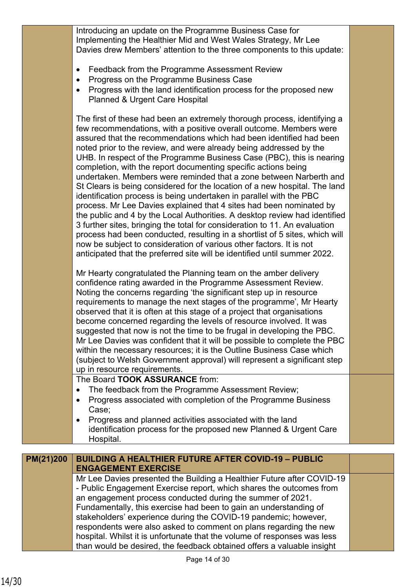Introducing an update on the Programme Business Case for Implementing the Healthier Mid and West Wales Strategy, Mr Lee Davies drew Members' attention to the three components to this update:

- Feedback from the Programme Assessment Review
- Progress on the Programme Business Case
- Progress with the land identification process for the proposed new Planned & Urgent Care Hospital

The first of these had been an extremely thorough process, identifying a few recommendations, with a positive overall outcome. Members were assured that the recommendations which had been identified had been noted prior to the review, and were already being addressed by the UHB. In respect of the Programme Business Case (PBC), this is nearing completion, with the report documenting specific actions being undertaken. Members were reminded that a zone between Narberth and St Clears is being considered for the location of a new hospital. The land identification process is being undertaken in parallel with the PBC process. Mr Lee Davies explained that 4 sites had been nominated by the public and 4 by the Local Authorities. A desktop review had identified 3 further sites, bringing the total for consideration to 11. An evaluation process had been conducted, resulting in a shortlist of 5 sites, which will now be subject to consideration of various other factors. It is not anticipated that the preferred site will be identified until summer 2022.

Mr Hearty congratulated the Planning team on the amber delivery confidence rating awarded in the Programme Assessment Review. Noting the concerns regarding 'the significant step up in resource requirements to manage the next stages of the programme', Mr Hearty observed that it is often at this stage of a project that organisations become concerned regarding the levels of resource involved. It was suggested that now is not the time to be frugal in developing the PBC. Mr Lee Davies was confident that it will be possible to complete the PBC within the necessary resources; it is the Outline Business Case which (subject to Welsh Government approval) will represent a significant step up in resource requirements.

The Board **TOOK ASSURANCE** from:

- The feedback from the Programme Assessment Review;
- Progress associated with completion of the Programme Business Case;
- Progress and planned activities associated with the land identification process for the proposed new Planned & Urgent Care Hospital.

| PM(21)200 | <b>BUILDING A HEALTHIER FUTURE AFTER COVID-19 - PUBLIC</b><br><b>ENGAGEMENT EXERCISE</b> |  |
|-----------|------------------------------------------------------------------------------------------|--|
|           | Mr Lee Davies presented the Building a Healthier Future after COVID-19                   |  |
|           | - Public Engagement Exercise report, which shares the outcomes from                      |  |
|           | an engagement process conducted during the summer of 2021.                               |  |
|           | Fundamentally, this exercise had been to gain an understanding of                        |  |
|           | stakeholders' experience during the COVID-19 pandemic; however,                          |  |
|           | respondents were also asked to comment on plans regarding the new                        |  |
|           | hospital. Whilst it is unfortunate that the volume of responses was less                 |  |
|           | than would be desired, the feedback obtained offers a valuable insight                   |  |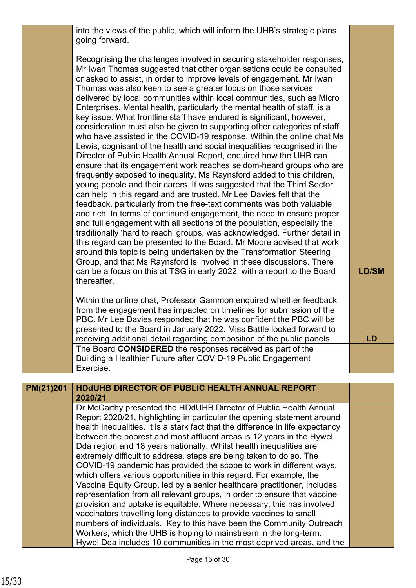into the views of the public, which will inform the UHB's strategic plans going forward.

Recognising the challenges involved in securing stakeholder responses, Mr Iwan Thomas suggested that other organisations could be consulted or asked to assist, in order to improve levels of engagement. Mr Iwan Thomas was also keen to see a greater focus on those services delivered by local communities within local communities, such as Micro Enterprises. Mental health, particularly the mental health of staff, is a key issue. What frontline staff have endured is significant; however, consideration must also be given to supporting other categories of staff who have assisted in the COVID-19 response. Within the online chat Ms Lewis, cognisant of the health and social inequalities recognised in the Director of Public Health Annual Report, enquired how the UHB can ensure that its engagement work reaches seldom-heard groups who are frequently exposed to inequality. Ms Raynsford added to this children, young people and their carers. It was suggested that the Third Sector can help in this regard and are trusted. Mr Lee Davies felt that the feedback, particularly from the free-text comments was both valuable and rich. In terms of continued engagement, the need to ensure proper and full engagement with all sections of the population, especially the traditionally 'hard to reach' groups, was acknowledged. Further detail in this regard can be presented to the Board. Mr Moore advised that work around this topic is being undertaken by the Transformation Steering Group, and that Ms Raynsford is involved in these discussions. There can be a focus on this at TSG in early 2022, with a report to the Board thereafter.

Within the online chat, Professor Gammon enquired whether feedback from the engagement has impacted on timelines for submission of the PBC. Mr Lee Davies responded that he was confident the PBC will be presented to the Board in January 2022. Miss Battle looked forward to receiving additional detail regarding composition of the public panels. The Board **CONSIDERED** the responses received as part of the Building a Healthier Future after COVID-19 Public Engagement Exercise.

**LD/SM**

**LD**

| PM(21)201 | <b>HDdUHB DIRECTOR OF PUBLIC HEALTH ANNUAL REPORT</b><br>2020/21               |  |
|-----------|--------------------------------------------------------------------------------|--|
|           | Dr McCarthy presented the HDdUHB Director of Public Health Annual              |  |
|           | Report 2020/21, highlighting in particular the opening statement around        |  |
|           | health inequalities. It is a stark fact that the difference in life expectancy |  |
|           | between the poorest and most affluent areas is 12 years in the Hywel           |  |
|           | Dda region and 18 years nationally. Whilst health inequalities are             |  |
|           | extremely difficult to address, steps are being taken to do so. The            |  |
|           | COVID-19 pandemic has provided the scope to work in different ways,            |  |
|           | which offers various opportunities in this regard. For example, the            |  |
|           | Vaccine Equity Group, led by a senior healthcare practitioner, includes        |  |
|           | representation from all relevant groups, in order to ensure that vaccine       |  |
|           | provision and uptake is equitable. Where necessary, this has involved          |  |
|           | vaccinators travelling long distances to provide vaccines to small             |  |
|           | numbers of individuals. Key to this have been the Community Outreach           |  |
|           | Workers, which the UHB is hoping to mainstream in the long-term.               |  |
|           | Hywel Dda includes 10 communities in the most deprived areas, and the          |  |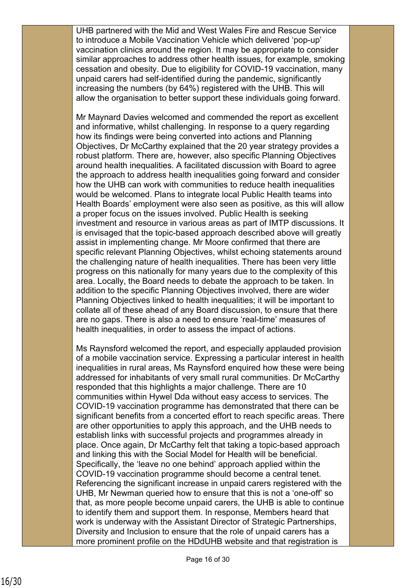UHB partnered with the Mid and West Wales Fire and Rescue Service to introduce a Mobile Vaccination Vehicle which delivered 'pop-up' vaccination clinics around the region. It may be appropriate to consider similar approaches to address other health issues, for example, smoking cessation and obesity. Due to eligibility for COVID-19 vaccination, many unpaid carers had self-identified during the pandemic, significantly increasing the numbers (by 64%) registered with the UHB. This will allow the organisation to better support these individuals going forward.

Mr Maynard Davies welcomed and commended the report as excellent and informative, whilst challenging. In response to a query regarding how its findings were being converted into actions and Planning Objectives, Dr McCarthy explained that the 20 year strategy provides a robust platform. There are, however, also specific Planning Objectives around health inequalities. A facilitated discussion with Board to agree the approach to address health inequalities going forward and consider how the UHB can work with communities to reduce health inequalities would be welcomed. Plans to integrate local Public Health teams into Health Boards' employment were also seen as positive, as this will allow a proper focus on the issues involved. Public Health is seeking investment and resource in various areas as part of IMTP discussions. It is envisaged that the topic-based approach described above will greatly assist in implementing change. Mr Moore confirmed that there are specific relevant Planning Objectives, whilst echoing statements around the challenging nature of health inequalities. There has been very little progress on this nationally for many years due to the complexity of this area. Locally, the Board needs to debate the approach to be taken. In addition to the specific Planning Objectives involved, there are wider Planning Objectives linked to health inequalities; it will be important to collate all of these ahead of any Board discussion, to ensure that there are no gaps. There is also a need to ensure 'real-time' measures of health inequalities, in order to assess the impact of actions.

Ms Raynsford welcomed the report, and especially applauded provision of a mobile vaccination service. Expressing a particular interest in health inequalities in rural areas, Ms Raynsford enquired how these were being addressed for inhabitants of very small rural communities. Dr McCarthy responded that this highlights a major challenge. There are 10 communities within Hywel Dda without easy access to services. The COVID-19 vaccination programme has demonstrated that there can be significant benefits from a concerted effort to reach specific areas. There are other opportunities to apply this approach, and the UHB needs to establish links with successful projects and programmes already in place. Once again, Dr McCarthy felt that taking a topic-based approach and linking this with the Social Model for Health will be beneficial. Specifically, the 'leave no one behind' approach applied within the COVID-19 vaccination programme should become a central tenet. Referencing the significant increase in unpaid carers registered with the UHB, Mr Newman queried how to ensure that this is not a 'one-off' so that, as more people become unpaid carers, the UHB is able to continue to identify them and support them. In response, Members heard that work is underway with the Assistant Director of Strategic Partnerships, Diversity and Inclusion to ensure that the role of unpaid carers has a more prominent profile on the HDdUHB website and that registration is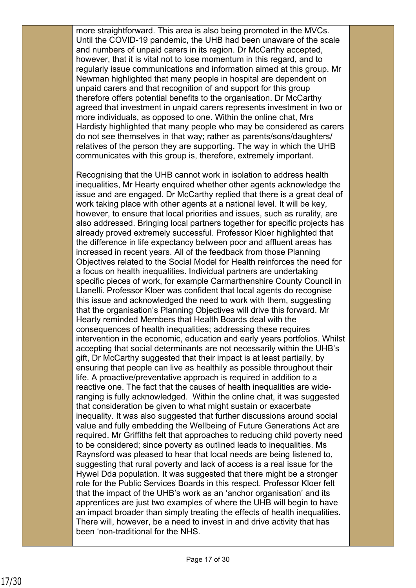more straightforward. This area is also being promoted in the MVCs. Until the COVID-19 pandemic, the UHB had been unaware of the scale and numbers of unpaid carers in its region. Dr McCarthy accepted, however, that it is vital not to lose momentum in this regard, and to regularly issue communications and information aimed at this group. Mr Newman highlighted that many people in hospital are dependent on unpaid carers and that recognition of and support for this group therefore offers potential benefits to the organisation. Dr McCarthy agreed that investment in unpaid carers represents investment in two or more individuals, as opposed to one. Within the online chat, Mrs Hardisty highlighted that many people who may be considered as carers do not see themselves in that way; rather as parents/sons/daughters/ relatives of the person they are supporting. The way in which the UHB communicates with this group is, therefore, extremely important.

Recognising that the UHB cannot work in isolation to address health inequalities, Mr Hearty enquired whether other agents acknowledge the issue and are engaged. Dr McCarthy replied that there is a great deal of work taking place with other agents at a national level. It will be key, however, to ensure that local priorities and issues, such as rurality, are also addressed. Bringing local partners together for specific projects has already proved extremely successful. Professor Kloer highlighted that the difference in life expectancy between poor and affluent areas has increased in recent years. All of the feedback from those Planning Objectives related to the Social Model for Health reinforces the need for a focus on health inequalities. Individual partners are undertaking specific pieces of work, for example Carmarthenshire County Council in Llanelli. Professor Kloer was confident that local agents do recognise this issue and acknowledged the need to work with them, suggesting that the organisation's Planning Objectives will drive this forward. Mr Hearty reminded Members that Health Boards deal with the consequences of health inequalities; addressing these requires intervention in the economic, education and early years portfolios. Whilst accepting that social determinants are not necessarily within the UHB's gift, Dr McCarthy suggested that their impact is at least partially, by ensuring that people can live as healthily as possible throughout their life. A proactive/preventative approach is required in addition to a reactive one. The fact that the causes of health inequalities are wideranging is fully acknowledged. Within the online chat, it was suggested that consideration be given to what might sustain or exacerbate inequality. It was also suggested that further discussions around social value and fully embedding the Wellbeing of Future Generations Act are required. Mr Griffiths felt that approaches to reducing child poverty need to be considered; since poverty as outlined leads to inequalities. Ms Raynsford was pleased to hear that local needs are being listened to, suggesting that rural poverty and lack of access is a real issue for the Hywel Dda population. It was suggested that there might be a stronger role for the Public Services Boards in this respect. Professor Kloer felt that the impact of the UHB's work as an 'anchor organisation' and its apprentices are just two examples of where the UHB will begin to have an impact broader than simply treating the effects of health inequalities. There will, however, be a need to invest in and drive activity that has been 'non-traditional for the NHS.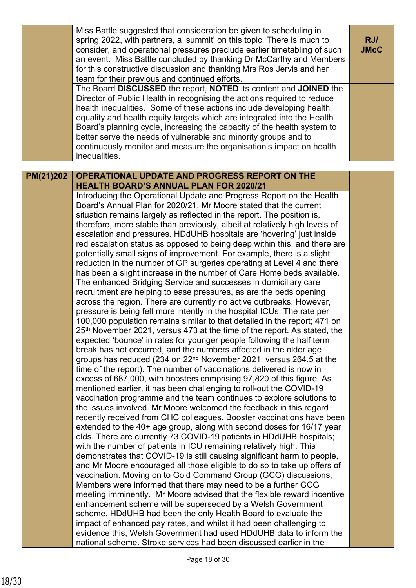|           | Miss Battle suggested that consideration be given to scheduling in<br>spring 2022, with partners, a 'summit' on this topic. There is much to<br>consider, and operational pressures preclude earlier timetabling of such<br>an event. Miss Battle concluded by thanking Dr McCarthy and Members<br>for this constructive discussion and thanking Mrs Ros Jervis and her<br>team for their previous and continued efforts. | RJ/<br><b>JMcC</b> |
|-----------|---------------------------------------------------------------------------------------------------------------------------------------------------------------------------------------------------------------------------------------------------------------------------------------------------------------------------------------------------------------------------------------------------------------------------|--------------------|
|           | The Board DISCUSSED the report, NOTED its content and JOINED the<br>Director of Public Health in recognising the actions required to reduce<br>health inequalities. Some of these actions include developing health<br>equality and health equity targets which are integrated into the Health                                                                                                                            |                    |
|           | Board's planning cycle, increasing the capacity of the health system to<br>better serve the needs of vulnerable and minority groups and to<br>continuously monitor and measure the organisation's impact on health                                                                                                                                                                                                        |                    |
|           | inequalities.                                                                                                                                                                                                                                                                                                                                                                                                             |                    |
| PM(21)202 | OPERATIONAL UPDATE AND PROGRESS REPORT ON THE                                                                                                                                                                                                                                                                                                                                                                             |                    |
|           | <b>HEALTH BOARD'S ANNUAL PLAN FOR 2020/21</b>                                                                                                                                                                                                                                                                                                                                                                             |                    |
|           | Introducing the Operational Update and Progress Report on the Health                                                                                                                                                                                                                                                                                                                                                      |                    |
|           | Board's Annual Plan for 2020/21, Mr Moore stated that the current<br>situation remains largely as reflected in the report. The position is,                                                                                                                                                                                                                                                                               |                    |
|           | therefore, more stable than previously, albeit at relatively high levels of                                                                                                                                                                                                                                                                                                                                               |                    |
|           | escalation and pressures. HDdUHB hospitals are 'hovering' just inside                                                                                                                                                                                                                                                                                                                                                     |                    |
|           | red escalation status as opposed to being deep within this, and there are                                                                                                                                                                                                                                                                                                                                                 |                    |
|           | potentially small signs of improvement. For example, there is a slight<br>reduction in the number of GP surgeries operating at Level 4 and there                                                                                                                                                                                                                                                                          |                    |
|           | has been a slight increase in the number of Care Home beds available.                                                                                                                                                                                                                                                                                                                                                     |                    |
|           | The enhanced Bridging Service and successes in domiciliary care                                                                                                                                                                                                                                                                                                                                                           |                    |
|           | recruitment are helping to ease pressures, as are the beds opening                                                                                                                                                                                                                                                                                                                                                        |                    |
|           | across the region. There are currently no active outbreaks. However,                                                                                                                                                                                                                                                                                                                                                      |                    |
|           | pressure is being felt more intently in the hospital ICUs. The rate per<br>100,000 population remains similar to that detailed in the report; 471 on                                                                                                                                                                                                                                                                      |                    |
|           | 25th November 2021, versus 473 at the time of the report. As stated, the                                                                                                                                                                                                                                                                                                                                                  |                    |
|           | expected 'bounce' in rates for younger people following the half term                                                                                                                                                                                                                                                                                                                                                     |                    |
|           | break has not occurred, and the numbers affected in the older age                                                                                                                                                                                                                                                                                                                                                         |                    |
|           | groups has reduced (234 on 22 <sup>nd</sup> November 2021, versus 264.5 at the                                                                                                                                                                                                                                                                                                                                            |                    |
|           | time of the report). The number of vaccinations delivered is now in                                                                                                                                                                                                                                                                                                                                                       |                    |
|           | excess of 687,000, with boosters comprising 97,820 of this figure. As<br>mentioned earlier, it has been challenging to roll-out the COVID-19                                                                                                                                                                                                                                                                              |                    |
|           | vaccination programme and the team continues to explore solutions to                                                                                                                                                                                                                                                                                                                                                      |                    |
|           | the issues involved. Mr Moore welcomed the feedback in this regard                                                                                                                                                                                                                                                                                                                                                        |                    |
|           | recently received from CHC colleagues. Booster vaccinations have been                                                                                                                                                                                                                                                                                                                                                     |                    |
|           | extended to the 40+ age group, along with second doses for 16/17 year                                                                                                                                                                                                                                                                                                                                                     |                    |
|           | olds. There are currently 73 COVID-19 patients in HDdUHB hospitals;                                                                                                                                                                                                                                                                                                                                                       |                    |
|           | with the number of patients in ICU remaining relatively high. This<br>demonstrates that COVID-19 is still causing significant harm to people,                                                                                                                                                                                                                                                                             |                    |
|           | and Mr Moore encouraged all those eligible to do so to take up offers of                                                                                                                                                                                                                                                                                                                                                  |                    |
|           | vaccination. Moving on to Gold Command Group (GCG) discussions,                                                                                                                                                                                                                                                                                                                                                           |                    |
|           | Members were informed that there may need to be a further GCG                                                                                                                                                                                                                                                                                                                                                             |                    |
|           | meeting imminently. Mr Moore advised that the flexible reward incentive                                                                                                                                                                                                                                                                                                                                                   |                    |
|           | enhancement scheme will be superseded by a Welsh Government<br>scheme. HDdUHB had been the only Health Board to evaluate the                                                                                                                                                                                                                                                                                              |                    |
|           | impact of enhanced pay rates, and whilst it had been challenging to                                                                                                                                                                                                                                                                                                                                                       |                    |
|           | evidence this, Welsh Government had used HDdUHB data to inform the<br>national scheme. Stroke services had been discussed earlier in the                                                                                                                                                                                                                                                                                  |                    |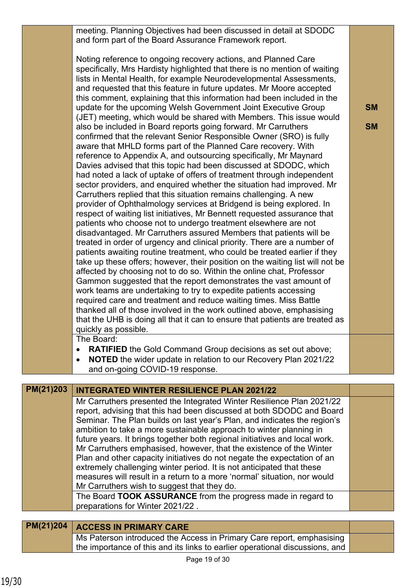meeting. Planning Objectives had been discussed in detail at SDODC and form part of the Board Assurance Framework report.

Noting reference to ongoing recovery actions, and Planned Care specifically, Mrs Hardisty highlighted that there is no mention of waiting lists in Mental Health, for example Neurodevelopmental Assessments, and requested that this feature in future updates. Mr Moore accepted this comment, explaining that this information had been included in the update for the upcoming Welsh Government Joint Executive Group (JET) meeting, which would be shared with Members. This issue would also be included in Board reports going forward. Mr Carruthers confirmed that the relevant Senior Responsible Owner (SRO) is fully aware that MHLD forms part of the Planned Care recovery. With reference to Appendix A, and outsourcing specifically, Mr Maynard Davies advised that this topic had been discussed at SDODC, which had noted a lack of uptake of offers of treatment through independent sector providers, and enquired whether the situation had improved. Mr Carruthers replied that this situation remains challenging. A new provider of Ophthalmology services at Bridgend is being explored. In respect of waiting list initiatives, Mr Bennett requested assurance that patients who choose not to undergo treatment elsewhere are not disadvantaged. Mr Carruthers assured Members that patients will be treated in order of urgency and clinical priority. There are a number of patients awaiting routine treatment, who could be treated earlier if they take up these offers; however, their position on the waiting list will not be affected by choosing not to do so. Within the online chat, Professor Gammon suggested that the report demonstrates the vast amount of work teams are undertaking to try to expedite patients accessing required care and treatment and reduce waiting times. Miss Battle thanked all of those involved in the work outlined above, emphasising that the UHB is doing all that it can to ensure that patients are treated as quickly as possible.

**SM**

**SM**

The Board:

- **RATIFIED** the Gold Command Group decisions as set out above;
- **NOTED** the wider update in relation to our Recovery Plan 2021/22 and on-going COVID-19 response.

| PM(21)203 | <b>INTEGRATED WINTER RESILIENCE PLAN 2021/22</b>                                                                                                 |  |
|-----------|--------------------------------------------------------------------------------------------------------------------------------------------------|--|
|           | Mr Carruthers presented the Integrated Winter Resilience Plan 2021/22                                                                            |  |
|           | report, advising that this had been discussed at both SDODC and Board                                                                            |  |
|           | Seminar. The Plan builds on last year's Plan, and indicates the region's                                                                         |  |
|           | ambition to take a more sustainable approach to winter planning in                                                                               |  |
|           | future years. It brings together both regional initiatives and local work.                                                                       |  |
|           | Mr Carruthers emphasised, however, that the existence of the Winter                                                                              |  |
|           | Plan and other capacity initiatives do not negate the expectation of an<br>extremely challenging winter period. It is not anticipated that these |  |
|           | measures will result in a return to a more 'normal' situation, nor would                                                                         |  |
|           | Mr Carruthers wish to suggest that they do.                                                                                                      |  |
|           | The Board TOOK ASSURANCE from the progress made in regard to                                                                                     |  |
|           | preparations for Winter 2021/22.                                                                                                                 |  |
|           |                                                                                                                                                  |  |
|           |                                                                                                                                                  |  |

# **PM(21)204 ACCESS IN PRIMARY CARE** Ms Paterson introduced the Access in Primary Care report, emphasising the importance of this and its links to earlier operational discussions, and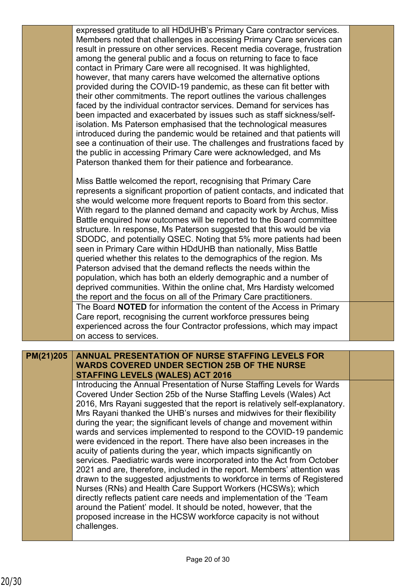expressed gratitude to all HDdUHB's Primary Care contractor services. Members noted that challenges in accessing Primary Care services can result in pressure on other services. Recent media coverage, frustration among the general public and a focus on returning to face to face contact in Primary Care were all recognised. It was highlighted, however, that many carers have welcomed the alternative options provided during the COVID-19 pandemic, as these can fit better with their other commitments. The report outlines the various challenges faced by the individual contractor services. Demand for services has been impacted and exacerbated by issues such as staff sickness/selfisolation. Ms Paterson emphasised that the technological measures introduced during the pandemic would be retained and that patients will see a continuation of their use. The challenges and frustrations faced by the public in accessing Primary Care were acknowledged, and Ms Paterson thanked them for their patience and forbearance.

Miss Battle welcomed the report, recognising that Primary Care represents a significant proportion of patient contacts, and indicated that she would welcome more frequent reports to Board from this sector. With regard to the planned demand and capacity work by Archus, Miss Battle enquired how outcomes will be reported to the Board committee structure. In response, Ms Paterson suggested that this would be via SDODC, and potentially QSEC. Noting that 5% more patients had been seen in Primary Care within HDdUHB than nationally, Miss Battle queried whether this relates to the demographics of the region. Ms Paterson advised that the demand reflects the needs within the population, which has both an elderly demographic and a number of deprived communities. Within the online chat, Mrs Hardisty welcomed the report and the focus on all of the Primary Care practitioners. The Board **NOTED** for information the content of the Access in Primary Care report, recognising the current workforce pressures being experienced across the four Contractor professions, which may impact on access to services.

### **ANNUAL PRESENTATION OF NURSE STAFFING LEVELS FOR WARDS COVERED UNDER SECTION 25B OF THE NURSE STAFFING LEVELS (WALES) ACT 2016 PM(21)205**

Introducing the Annual Presentation of Nurse Staffing Levels for Wards Covered Under Section 25b of the Nurse Staffing Levels (Wales) Act 2016. Mrs Rayani suggested that the report is relatively self-explanatory. Mrs Rayani thanked the UHB's nurses and midwives for their flexibility during the year; the significant levels of change and movement within wards and services implemented to respond to the COVID-19 pandemic were evidenced in the report. There have also been increases in the acuity of patients during the year, which impacts significantly on services. Paediatric wards were incorporated into the Act from October 2021 and are, therefore, included in the report. Members' attention was drawn to the suggested adjustments to workforce in terms of Registered Nurses (RNs) and Health Care Support Workers (HCSWs); which directly reflects patient care needs and implementation of the 'Team around the Patient' model. It should be noted, however, that the proposed increase in the HCSW workforce capacity is not without challenges.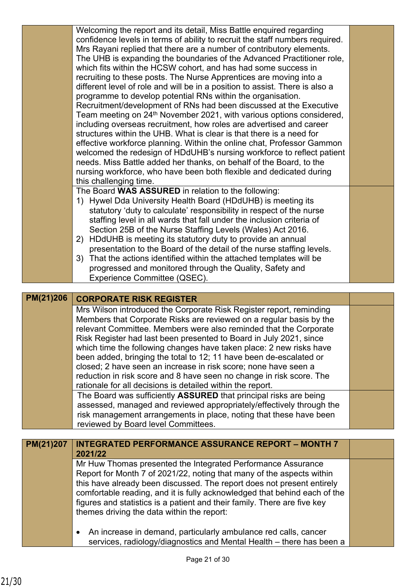|           | Welcoming the report and its detail, Miss Battle enquired regarding                                                                                  |  |
|-----------|------------------------------------------------------------------------------------------------------------------------------------------------------|--|
|           | confidence levels in terms of ability to recruit the staff numbers required.                                                                         |  |
|           | Mrs Rayani replied that there are a number of contributory elements.                                                                                 |  |
|           | The UHB is expanding the boundaries of the Advanced Practitioner role,                                                                               |  |
|           | which fits within the HCSW cohort, and has had some success in                                                                                       |  |
|           | recruiting to these posts. The Nurse Apprentices are moving into a                                                                                   |  |
|           | different level of role and will be in a position to assist. There is also a                                                                         |  |
|           | programme to develop potential RNs within the organisation.                                                                                          |  |
|           | Recruitment/development of RNs had been discussed at the Executive                                                                                   |  |
|           | Team meeting on 24 <sup>th</sup> November 2021, with various options considered,                                                                     |  |
|           | including overseas recruitment, how roles are advertised and career                                                                                  |  |
|           | structures within the UHB. What is clear is that there is a need for                                                                                 |  |
|           | effective workforce planning. Within the online chat, Professor Gammon                                                                               |  |
|           | welcomed the redesign of HDdUHB's nursing workforce to reflect patient                                                                               |  |
|           | needs. Miss Battle added her thanks, on behalf of the Board, to the                                                                                  |  |
|           | nursing workforce, who have been both flexible and dedicated during                                                                                  |  |
|           | this challenging time.                                                                                                                               |  |
|           | The Board WAS ASSURED in relation to the following:                                                                                                  |  |
|           | 1) Hywel Dda University Health Board (HDdUHB) is meeting its                                                                                         |  |
|           | statutory 'duty to calculate' responsibility in respect of the nurse                                                                                 |  |
|           | staffing level in all wards that fall under the inclusion criteria of                                                                                |  |
|           | Section 25B of the Nurse Staffing Levels (Wales) Act 2016.                                                                                           |  |
|           | HDdUHB is meeting its statutory duty to provide an annual<br>2)                                                                                      |  |
|           | presentation to the Board of the detail of the nurse staffing levels.                                                                                |  |
|           | 3) That the actions identified within the attached templates will be                                                                                 |  |
|           | progressed and monitored through the Quality, Safety and                                                                                             |  |
|           | Experience Committee (QSEC).                                                                                                                         |  |
|           |                                                                                                                                                      |  |
|           |                                                                                                                                                      |  |
|           |                                                                                                                                                      |  |
| PM(21)206 | <b>CORPORATE RISK REGISTER</b>                                                                                                                       |  |
|           | Mrs Wilson introduced the Corporate Risk Register report, reminding                                                                                  |  |
|           | Members that Corporate Risks are reviewed on a regular basis by the                                                                                  |  |
|           | relevant Committee. Members were also reminded that the Corporate                                                                                    |  |
|           | Risk Register had last been presented to Board in July 2021, since                                                                                   |  |
|           | which time the following changes have taken place: 2 new risks have                                                                                  |  |
|           | been added, bringing the total to 12; 11 have been de-escalated or                                                                                   |  |
|           | closed; 2 have seen an increase in risk score; none have seen a                                                                                      |  |
|           | reduction in risk score and 8 have seen no change in risk score. The                                                                                 |  |
|           | rationale for all decisions is detailed within the report.                                                                                           |  |
|           | The Board was sufficiently ASSURED that principal risks are being                                                                                    |  |
|           | assessed, managed and reviewed appropriately/effectively through the                                                                                 |  |
|           | risk management arrangements in place, noting that these have been                                                                                   |  |
|           | reviewed by Board level Committees.                                                                                                                  |  |
|           |                                                                                                                                                      |  |
| PM(21)207 | <b>INTEGRATED PERFORMANCE ASSURANCE REPORT - MONTH 7</b><br>2021/22                                                                                  |  |
|           |                                                                                                                                                      |  |
|           | Mr Huw Thomas presented the Integrated Performance Assurance                                                                                         |  |
|           | Report for Month 7 of 2021/22, noting that many of the aspects within                                                                                |  |
|           | this have already been discussed. The report does not present entirely                                                                               |  |
|           | comfortable reading, and it is fully acknowledged that behind each of the                                                                            |  |
|           | figures and statistics is a patient and their family. There are five key                                                                             |  |
|           | themes driving the data within the report:                                                                                                           |  |
|           |                                                                                                                                                      |  |
|           | An increase in demand, particularly ambulance red calls, cancer<br>$\bullet$<br>services, radiology/diagnostics and Mental Health - there has been a |  |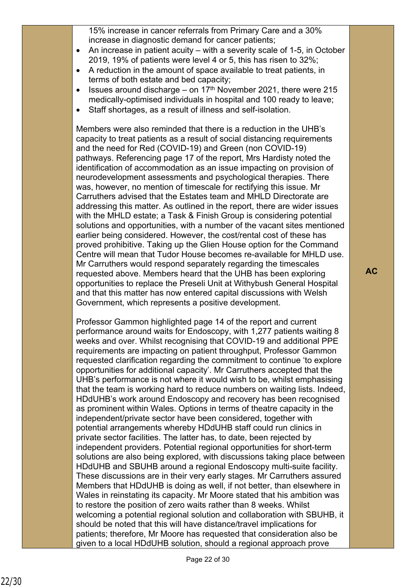15% increase in cancer referrals from Primary Care and a 30% increase in diagnostic demand for cancer patients;

- An increase in patient acuity with a severity scale of 1-5, in October 2019, 19% of patients were level 4 or 5, this has risen to 32%;
- A reduction in the amount of space available to treat patients, in terms of both estate and bed capacity;
- $\bullet$  Issues around discharge on 17<sup>th</sup> November 2021, there were 215 medically-optimised individuals in hospital and 100 ready to leave;
- Staff shortages, as a result of illness and self-isolation.

Members were also reminded that there is a reduction in the UHB's capacity to treat patients as a result of social distancing requirements and the need for Red (COVID-19) and Green (non COVID-19) pathways. Referencing page 17 of the report, Mrs Hardisty noted the identification of accommodation as an issue impacting on provision of neurodevelopment assessments and psychological therapies. There was, however, no mention of timescale for rectifying this issue. Mr Carruthers advised that the Estates team and MHLD Directorate are addressing this matter. As outlined in the report, there are wider issues with the MHLD estate; a Task & Finish Group is considering potential solutions and opportunities, with a number of the vacant sites mentioned earlier being considered. However, the cost/rental cost of these has proved prohibitive. Taking up the Glien House option for the Command Centre will mean that Tudor House becomes re-available for MHLD use. Mr Carruthers would respond separately regarding the timescales requested above. Members heard that the UHB has been exploring opportunities to replace the Preseli Unit at Withybush General Hospital and that this matter has now entered capital discussions with Welsh Government, which represents a positive development.

Professor Gammon highlighted page 14 of the report and current performance around waits for Endoscopy, with 1,277 patients waiting 8 weeks and over. Whilst recognising that COVID-19 and additional PPE requirements are impacting on patient throughput, Professor Gammon requested clarification regarding the commitment to continue 'to explore opportunities for additional capacity'. Mr Carruthers accepted that the UHB's performance is not where it would wish to be, whilst emphasising that the team is working hard to reduce numbers on waiting lists. Indeed, HDdUHB's work around Endoscopy and recovery has been recognised as prominent within Wales. Options in terms of theatre capacity in the independent/private sector have been considered, together with potential arrangements whereby HDdUHB staff could run clinics in private sector facilities. The latter has, to date, been rejected by independent providers. Potential regional opportunities for short-term solutions are also being explored, with discussions taking place between HDdUHB and SBUHB around a regional Endoscopy multi-suite facility. These discussions are in their very early stages. Mr Carruthers assured Members that HDdUHB is doing as well, if not better, than elsewhere in Wales in reinstating its capacity. Mr Moore stated that his ambition was to restore the position of zero waits rather than 8 weeks. Whilst welcoming a potential regional solution and collaboration with SBUHB, it should be noted that this will have distance/travel implications for patients; therefore, Mr Moore has requested that consideration also be given to a local HDdUHB solution, should a regional approach prove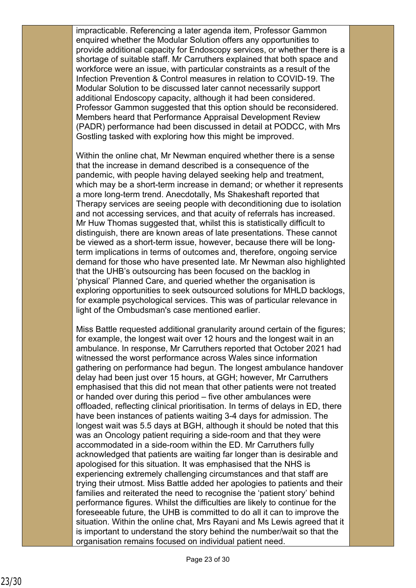impracticable. Referencing a later agenda item, Professor Gammon enquired whether the Modular Solution offers any opportunities to provide additional capacity for Endoscopy services, or whether there is a shortage of suitable staff. Mr Carruthers explained that both space and workforce were an issue, with particular constraints as a result of the Infection Prevention & Control measures in relation to COVID-19. The Modular Solution to be discussed later cannot necessarily support additional Endoscopy capacity, although it had been considered. Professor Gammon suggested that this option should be reconsidered. Members heard that Performance Appraisal Development Review (PADR) performance had been discussed in detail at PODCC, with Mrs Gostling tasked with exploring how this might be improved.

Within the online chat, Mr Newman enquired whether there is a sense that the increase in demand described is a consequence of the pandemic, with people having delayed seeking help and treatment, which may be a short-term increase in demand; or whether it represents a more long-term trend. Anecdotally, Ms Shakeshaft reported that Therapy services are seeing people with deconditioning due to isolation and not accessing services, and that acuity of referrals has increased. Mr Huw Thomas suggested that, whilst this is statistically difficult to distinguish, there are known areas of late presentations. These cannot be viewed as a short-term issue, however, because there will be longterm implications in terms of outcomes and, therefore, ongoing service demand for those who have presented late. Mr Newman also highlighted that the UHB's outsourcing has been focused on the backlog in 'physical' Planned Care, and queried whether the organisation is exploring opportunities to seek outsourced solutions for MHLD backlogs, for example psychological services. This was of particular relevance in light of the Ombudsman's case mentioned earlier.

Miss Battle requested additional granularity around certain of the figures; for example, the longest wait over 12 hours and the longest wait in an ambulance. In response, Mr Carruthers reported that October 2021 had witnessed the worst performance across Wales since information gathering on performance had begun. The longest ambulance handover delay had been just over 15 hours, at GGH; however, Mr Carruthers emphasised that this did not mean that other patients were not treated or handed over during this period – five other ambulances were offloaded, reflecting clinical prioritisation. In terms of delays in ED, there have been instances of patients waiting 3-4 days for admission. The longest wait was 5.5 days at BGH, although it should be noted that this was an Oncology patient requiring a side-room and that they were accommodated in a side-room within the ED. Mr Carruthers fully acknowledged that patients are waiting far longer than is desirable and apologised for this situation. It was emphasised that the NHS is experiencing extremely challenging circumstances and that staff are trying their utmost. Miss Battle added her apologies to patients and their families and reiterated the need to recognise the 'patient story' behind performance figures. Whilst the difficulties are likely to continue for the foreseeable future, the UHB is committed to do all it can to improve the situation. Within the online chat, Mrs Rayani and Ms Lewis agreed that it is important to understand the story behind the number/wait so that the organisation remains focused on individual patient need.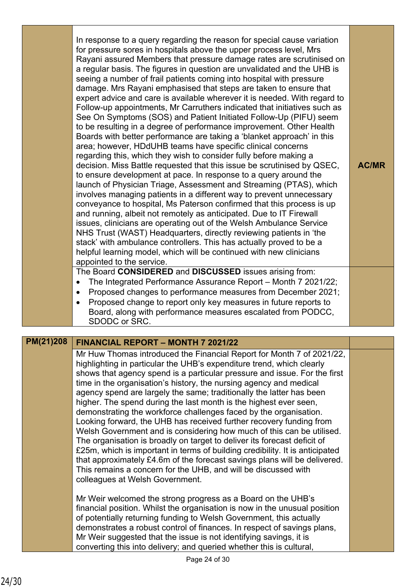|           | In response to a query regarding the reason for special cause variation<br>for pressure sores in hospitals above the upper process level, Mrs<br>Rayani assured Members that pressure damage rates are scrutinised on<br>a regular basis. The figures in question are unvalidated and the UHB is<br>seeing a number of frail patients coming into hospital with pressure<br>damage. Mrs Rayani emphasised that steps are taken to ensure that<br>expert advice and care is available wherever it is needed. With regard to<br>Follow-up appointments, Mr Carruthers indicated that initiatives such as<br>See On Symptoms (SOS) and Patient Initiated Follow-Up (PIFU) seem<br>to be resulting in a degree of performance improvement. Other Health<br>Boards with better performance are taking a 'blanket approach' in this<br>area; however, HDdUHB teams have specific clinical concerns<br>regarding this, which they wish to consider fully before making a<br>decision. Miss Battle requested that this issue be scrutinised by QSEC,<br>to ensure development at pace. In response to a query around the<br>launch of Physician Triage, Assessment and Streaming (PTAS), which<br>involves managing patients in a different way to prevent unnecessary<br>conveyance to hospital, Ms Paterson confirmed that this process is up<br>and running, albeit not remotely as anticipated. Due to IT Firewall<br>issues, clinicians are operating out of the Welsh Ambulance Service<br>NHS Trust (WAST) Headquarters, directly reviewing patients in 'the<br>stack' with ambulance controllers. This has actually proved to be a<br>helpful learning model, which will be continued with new clinicians<br>appointed to the service.<br>The Board CONSIDERED and DISCUSSED issues arising from:<br>The Integrated Performance Assurance Report - Month 7 2021/22;<br>$\bullet$<br>Proposed changes to performance measures from December 2021;<br>$\bullet$<br>Proposed change to report only key measures in future reports to<br>$\bullet$<br>Board, along with performance measures escalated from PODCC, | <b>AC/MR</b> |
|-----------|----------------------------------------------------------------------------------------------------------------------------------------------------------------------------------------------------------------------------------------------------------------------------------------------------------------------------------------------------------------------------------------------------------------------------------------------------------------------------------------------------------------------------------------------------------------------------------------------------------------------------------------------------------------------------------------------------------------------------------------------------------------------------------------------------------------------------------------------------------------------------------------------------------------------------------------------------------------------------------------------------------------------------------------------------------------------------------------------------------------------------------------------------------------------------------------------------------------------------------------------------------------------------------------------------------------------------------------------------------------------------------------------------------------------------------------------------------------------------------------------------------------------------------------------------------------------------------------------------------------------------------------------------------------------------------------------------------------------------------------------------------------------------------------------------------------------------------------------------------------------------------------------------------------------------------------------------------------------------------------------------------------------------------------------------------------------------------------------------------------|--------------|
|           | SDODC or SRC.                                                                                                                                                                                                                                                                                                                                                                                                                                                                                                                                                                                                                                                                                                                                                                                                                                                                                                                                                                                                                                                                                                                                                                                                                                                                                                                                                                                                                                                                                                                                                                                                                                                                                                                                                                                                                                                                                                                                                                                                                                                                                                  |              |
| PM(21)208 |                                                                                                                                                                                                                                                                                                                                                                                                                                                                                                                                                                                                                                                                                                                                                                                                                                                                                                                                                                                                                                                                                                                                                                                                                                                                                                                                                                                                                                                                                                                                                                                                                                                                                                                                                                                                                                                                                                                                                                                                                                                                                                                |              |
|           | FINANCIAL REPORT – MONTH 7 2021/22<br>Mr Huw Thomas introduced the Financial Report for Month 7 of 2021/22,                                                                                                                                                                                                                                                                                                                                                                                                                                                                                                                                                                                                                                                                                                                                                                                                                                                                                                                                                                                                                                                                                                                                                                                                                                                                                                                                                                                                                                                                                                                                                                                                                                                                                                                                                                                                                                                                                                                                                                                                    |              |
|           | highlighting in particular the UHB's expenditure trend, which clearly<br>shows that agency spend is a particular pressure and issue. For the first<br>time in the organisation's history, the nursing agency and medical<br>agency spend are largely the same; traditionally the latter has been<br>higher. The spend during the last month is the highest ever seen,<br>demonstrating the workforce challenges faced by the organisation.<br>Looking forward, the UHB has received further recovery funding from<br>Welsh Government and is considering how much of this can be utilised.<br>The organisation is broadly on target to deliver its forecast deficit of<br>£25m, which is important in terms of building credibility. It is anticipated<br>that approximately £4.6m of the forecast savings plans will be delivered.<br>This remains a concern for the UHB, and will be discussed with<br>colleagues at Welsh Government.                                                                                                                                                                                                                                                                                                                                                                                                                                                                                                                                                                                                                                                                                                                                                                                                                                                                                                                                                                                                                                                                                                                                                                       |              |
|           | Mr Weir welcomed the strong progress as a Board on the UHB's<br>financial position. Whilst the organisation is now in the unusual position<br>of potentially returning funding to Welsh Government, this actually<br>demonstrates a robust control of finances. In respect of savings plans,                                                                                                                                                                                                                                                                                                                                                                                                                                                                                                                                                                                                                                                                                                                                                                                                                                                                                                                                                                                                                                                                                                                                                                                                                                                                                                                                                                                                                                                                                                                                                                                                                                                                                                                                                                                                                   |              |

Mr Weir suggested that the issue is not identifying savings, it is converting this into delivery; and queried whether this is cultural,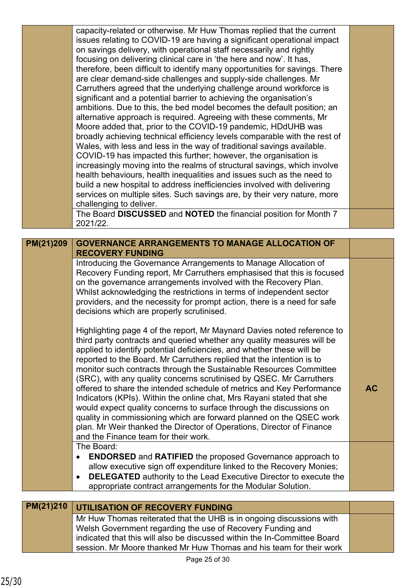|           | capacity-related or otherwise. Mr Huw Thomas replied that the current<br>issues relating to COVID-19 are having a significant operational impact<br>on savings delivery, with operational staff necessarily and rightly<br>focusing on delivering clinical care in 'the here and now'. It has,<br>therefore, been difficult to identify many opportunities for savings. There<br>are clear demand-side challenges and supply-side challenges. Mr<br>Carruthers agreed that the underlying challenge around workforce is<br>significant and a potential barrier to achieving the organisation's<br>ambitions. Due to this, the bed model becomes the default position; an<br>alternative approach is required. Agreeing with these comments, Mr<br>Moore added that, prior to the COVID-19 pandemic, HDdUHB was<br>broadly achieving technical efficiency levels comparable with the rest of<br>Wales, with less and less in the way of traditional savings available.<br>COVID-19 has impacted this further; however, the organisation is<br>increasingly moving into the realms of structural savings, which involve<br>health behaviours, health inequalities and issues such as the need to<br>build a new hospital to address inefficiencies involved with delivering<br>services on multiple sites. Such savings are, by their very nature, more<br>challenging to deliver. |           |
|-----------|----------------------------------------------------------------------------------------------------------------------------------------------------------------------------------------------------------------------------------------------------------------------------------------------------------------------------------------------------------------------------------------------------------------------------------------------------------------------------------------------------------------------------------------------------------------------------------------------------------------------------------------------------------------------------------------------------------------------------------------------------------------------------------------------------------------------------------------------------------------------------------------------------------------------------------------------------------------------------------------------------------------------------------------------------------------------------------------------------------------------------------------------------------------------------------------------------------------------------------------------------------------------------------------------------------------------------------------------------------------------------------|-----------|
|           | The Board DISCUSSED and NOTED the financial position for Month 7<br>2021/22.                                                                                                                                                                                                                                                                                                                                                                                                                                                                                                                                                                                                                                                                                                                                                                                                                                                                                                                                                                                                                                                                                                                                                                                                                                                                                                     |           |
|           |                                                                                                                                                                                                                                                                                                                                                                                                                                                                                                                                                                                                                                                                                                                                                                                                                                                                                                                                                                                                                                                                                                                                                                                                                                                                                                                                                                                  |           |
| PM(21)209 | <b>GOVERNANCE ARRANGEMENTS TO MANAGE ALLOCATION OF</b><br><b>RECOVERY FUNDING</b>                                                                                                                                                                                                                                                                                                                                                                                                                                                                                                                                                                                                                                                                                                                                                                                                                                                                                                                                                                                                                                                                                                                                                                                                                                                                                                |           |
|           | Introducing the Governance Arrangements to Manage Allocation of<br>Recovery Funding report, Mr Carruthers emphasised that this is focused<br>on the governance arrangements involved with the Recovery Plan.<br>Whilst acknowledging the restrictions in terms of independent sector<br>providers, and the necessity for prompt action, there is a need for safe<br>decisions which are properly scrutinised.<br>Highlighting page 4 of the report, Mr Maynard Davies noted reference to<br>third party contracts and queried whether any quality measures will be<br>applied to identify potential deficiencies, and whether these will be<br>reported to the Board. Mr Carruthers replied that the intention is to<br>monitor such contracts through the Sustainable Resources Committee<br>(SRC), with any quality concerns scrutinised by QSEC. Mr Carruthers<br>offered to share the intended schedule of metrics and Key Performance<br>Indicators (KPIs). Within the online chat, Mrs Rayani stated that she<br>would expect quality concerns to surface through the discussions on<br>quality in commissioning which are forward planned on the QSEC work                                                                                                                                                                                                                | <b>AC</b> |
|           | plan. Mr Weir thanked the Director of Operations, Director of Finance<br>and the Finance team for their work.                                                                                                                                                                                                                                                                                                                                                                                                                                                                                                                                                                                                                                                                                                                                                                                                                                                                                                                                                                                                                                                                                                                                                                                                                                                                    |           |
|           | The Board:<br><b>ENDORSED</b> and <b>RATIFIED</b> the proposed Governance approach to<br>$\bullet$<br>allow executive sign off expenditure linked to the Recovery Monies;<br><b>DELEGATED</b> authority to the Lead Executive Director to execute the<br>٠<br>appropriate contract arrangements for the Modular Solution.                                                                                                                                                                                                                                                                                                                                                                                                                                                                                                                                                                                                                                                                                                                                                                                                                                                                                                                                                                                                                                                        |           |
|           |                                                                                                                                                                                                                                                                                                                                                                                                                                                                                                                                                                                                                                                                                                                                                                                                                                                                                                                                                                                                                                                                                                                                                                                                                                                                                                                                                                                  |           |
| PM(21)210 | UTILISATION OF RECOVERY FUNDING                                                                                                                                                                                                                                                                                                                                                                                                                                                                                                                                                                                                                                                                                                                                                                                                                                                                                                                                                                                                                                                                                                                                                                                                                                                                                                                                                  |           |
|           | Mr Huw Thomas reiterated that the UHB is in ongoing discussions with<br>Welsh Government regarding the use of Recovery Funding and<br>indicated that this will also be discussed within the In-Committee Board                                                                                                                                                                                                                                                                                                                                                                                                                                                                                                                                                                                                                                                                                                                                                                                                                                                                                                                                                                                                                                                                                                                                                                   |           |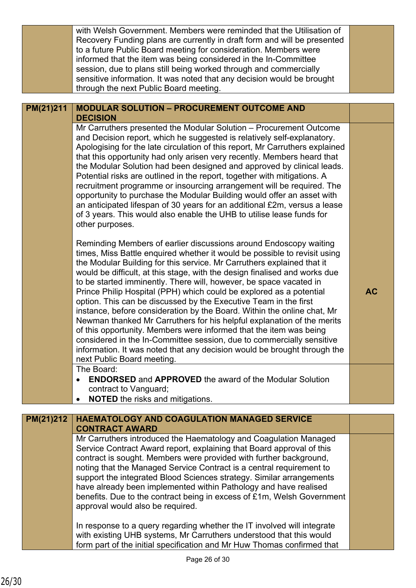|           | with Welsh Government. Members were reminded that the Utilisation of<br>Recovery Funding plans are currently in draft form and will be presented<br>to a future Public Board meeting for consideration. Members were<br>informed that the item was being considered in the In-Committee<br>session, due to plans still being worked through and commercially<br>sensitive information. It was noted that any decision would be brought<br>through the next Public Board meeting.                                                                                                                                                                                                                                                                                                                                                                                                                                                      |           |
|-----------|---------------------------------------------------------------------------------------------------------------------------------------------------------------------------------------------------------------------------------------------------------------------------------------------------------------------------------------------------------------------------------------------------------------------------------------------------------------------------------------------------------------------------------------------------------------------------------------------------------------------------------------------------------------------------------------------------------------------------------------------------------------------------------------------------------------------------------------------------------------------------------------------------------------------------------------|-----------|
| PM(21)211 | <b>MODULAR SOLUTION - PROCUREMENT OUTCOME AND</b><br><b>DECISION</b>                                                                                                                                                                                                                                                                                                                                                                                                                                                                                                                                                                                                                                                                                                                                                                                                                                                                  |           |
|           | Mr Carruthers presented the Modular Solution – Procurement Outcome<br>and Decision report, which he suggested is relatively self-explanatory.<br>Apologising for the late circulation of this report, Mr Carruthers explained<br>that this opportunity had only arisen very recently. Members heard that<br>the Modular Solution had been designed and approved by clinical leads.<br>Potential risks are outlined in the report, together with mitigations. A<br>recruitment programme or insourcing arrangement will be required. The<br>opportunity to purchase the Modular Building would offer an asset with<br>an anticipated lifespan of 30 years for an additional £2m, versus a lease<br>of 3 years. This would also enable the UHB to utilise lease funds for<br>other purposes.                                                                                                                                            |           |
|           | Reminding Members of earlier discussions around Endoscopy waiting<br>times, Miss Battle enquired whether it would be possible to revisit using<br>the Modular Building for this service. Mr Carruthers explained that it<br>would be difficult, at this stage, with the design finalised and works due<br>to be started imminently. There will, however, be space vacated in<br>Prince Philip Hospital (PPH) which could be explored as a potential<br>option. This can be discussed by the Executive Team in the first<br>instance, before consideration by the Board. Within the online chat, Mr<br>Newman thanked Mr Carruthers for his helpful explanation of the merits<br>of this opportunity. Members were informed that the item was being<br>considered in the In-Committee session, due to commercially sensitive<br>information. It was noted that any decision would be brought through the<br>next Public Board meeting. | <b>AC</b> |
|           | The Board:<br><b>ENDORSED</b> and <b>APPROVED</b> the award of the Modular Solution                                                                                                                                                                                                                                                                                                                                                                                                                                                                                                                                                                                                                                                                                                                                                                                                                                                   |           |
|           | contract to Vanguard;<br><b>NOTED</b> the risks and mitigations.                                                                                                                                                                                                                                                                                                                                                                                                                                                                                                                                                                                                                                                                                                                                                                                                                                                                      |           |
| PM(21)212 | <b>HAEMATOLOGY AND COAGULATION MANAGED SERVICE</b>                                                                                                                                                                                                                                                                                                                                                                                                                                                                                                                                                                                                                                                                                                                                                                                                                                                                                    |           |
|           | <b>CONTRACT AWARD</b><br>Mr Carruthers introduced the Haematology and Coagulation Managed                                                                                                                                                                                                                                                                                                                                                                                                                                                                                                                                                                                                                                                                                                                                                                                                                                             |           |
|           | Service Contract Award report, explaining that Board approval of this<br>contract is sought. Members were provided with further background,<br>noting that the Managed Service Contract is a central requirement to<br>support the integrated Blood Sciences strategy. Similar arrangements<br>have already been implemented within Pathology and have realised<br>benefits. Due to the contract being in excess of £1m, Welsh Government<br>approval would also be required.                                                                                                                                                                                                                                                                                                                                                                                                                                                         |           |
|           | In response to a query regarding whether the IT involved will integrate<br>with existing UHB systems, Mr Carruthers understood that this would<br>form part of the initial specification and Mr Huw Thomas confirmed that                                                                                                                                                                                                                                                                                                                                                                                                                                                                                                                                                                                                                                                                                                             |           |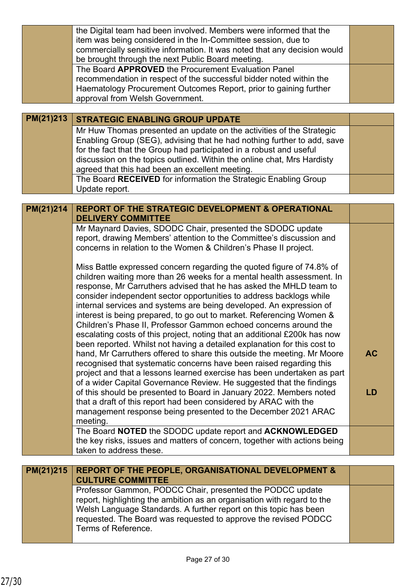|           | the Digital team had been involved. Members were informed that the<br>item was being considered in the In-Committee session, due to<br>commercially sensitive information. It was noted that any decision would<br>be brought through the next Public Board meeting.<br>The Board APPROVED the Procurement Evaluation Panel<br>recommendation in respect of the successful bidder noted within the<br>Haematology Procurement Outcomes Report, prior to gaining further<br>approval from Welsh Government.                                                                                                                                                                                                                                                                                                                                                                                                                                                                                                                                                                                                                                                                                                                                                                                                                                                                                                      |                 |
|-----------|-----------------------------------------------------------------------------------------------------------------------------------------------------------------------------------------------------------------------------------------------------------------------------------------------------------------------------------------------------------------------------------------------------------------------------------------------------------------------------------------------------------------------------------------------------------------------------------------------------------------------------------------------------------------------------------------------------------------------------------------------------------------------------------------------------------------------------------------------------------------------------------------------------------------------------------------------------------------------------------------------------------------------------------------------------------------------------------------------------------------------------------------------------------------------------------------------------------------------------------------------------------------------------------------------------------------------------------------------------------------------------------------------------------------|-----------------|
| PM(21)213 | <b>STRATEGIC ENABLING GROUP UPDATE</b>                                                                                                                                                                                                                                                                                                                                                                                                                                                                                                                                                                                                                                                                                                                                                                                                                                                                                                                                                                                                                                                                                                                                                                                                                                                                                                                                                                          |                 |
|           | Mr Huw Thomas presented an update on the activities of the Strategic<br>Enabling Group (SEG), advising that he had nothing further to add, save<br>for the fact that the Group had participated in a robust and useful<br>discussion on the topics outlined. Within the online chat, Mrs Hardisty<br>agreed that this had been an excellent meeting.<br>The Board RECEIVED for information the Strategic Enabling Group<br>Update report.                                                                                                                                                                                                                                                                                                                                                                                                                                                                                                                                                                                                                                                                                                                                                                                                                                                                                                                                                                       |                 |
|           |                                                                                                                                                                                                                                                                                                                                                                                                                                                                                                                                                                                                                                                                                                                                                                                                                                                                                                                                                                                                                                                                                                                                                                                                                                                                                                                                                                                                                 |                 |
| PM(21)214 | <b>REPORT OF THE STRATEGIC DEVELOPMENT &amp; OPERATIONAL</b><br><b>DELIVERY COMMITTEE</b>                                                                                                                                                                                                                                                                                                                                                                                                                                                                                                                                                                                                                                                                                                                                                                                                                                                                                                                                                                                                                                                                                                                                                                                                                                                                                                                       |                 |
|           | Mr Maynard Davies, SDODC Chair, presented the SDODC update<br>report, drawing Members' attention to the Committee's discussion and<br>concerns in relation to the Women & Children's Phase II project.<br>Miss Battle expressed concern regarding the quoted figure of 74.8% of<br>children waiting more than 26 weeks for a mental health assessment. In<br>response, Mr Carruthers advised that he has asked the MHLD team to<br>consider independent sector opportunities to address backlogs while<br>internal services and systems are being developed. An expression of<br>interest is being prepared, to go out to market. Referencing Women &<br>Children's Phase II, Professor Gammon echoed concerns around the<br>escalating costs of this project, noting that an additional £200k has now<br>been reported. Whilst not having a detailed explanation for this cost to<br>hand, Mr Carruthers offered to share this outside the meeting. Mr Moore<br>recognised that systematic concerns have been raised regarding this<br>project and that a lessons learned exercise has been undertaken as part<br>of a wider Capital Governance Review. He suggested that the findings<br>of this should be presented to Board in January 2022. Members noted<br>that a draft of this report had been considered by ARAC with the<br>management response being presented to the December 2021 ARAC<br>meeting. | <b>AC</b><br>LD |
|           | The Board NOTED the SDODC update report and ACKNOWLEDGED                                                                                                                                                                                                                                                                                                                                                                                                                                                                                                                                                                                                                                                                                                                                                                                                                                                                                                                                                                                                                                                                                                                                                                                                                                                                                                                                                        |                 |
|           | the key risks, issues and matters of concern, together with actions being<br>taken to address these.                                                                                                                                                                                                                                                                                                                                                                                                                                                                                                                                                                                                                                                                                                                                                                                                                                                                                                                                                                                                                                                                                                                                                                                                                                                                                                            |                 |
| PM(21)215 | <b>REPORT OF THE PEOPLE, ORGANISATIONAL DEVELOPMENT &amp;</b><br><b>CULTURE COMMITTEE</b><br>Professor Gammon, PODCC Chair, presented the PODCC update<br>report, highlighting the ambition as an organisation with regard to the<br>Welsh Language Standards. A further report on this topic has been<br>requested. The Board was requested to approve the revised PODCC                                                                                                                                                                                                                                                                                                                                                                                                                                                                                                                                                                                                                                                                                                                                                                                                                                                                                                                                                                                                                                       |                 |
|           | Terms of Reference.                                                                                                                                                                                                                                                                                                                                                                                                                                                                                                                                                                                                                                                                                                                                                                                                                                                                                                                                                                                                                                                                                                                                                                                                                                                                                                                                                                                             |                 |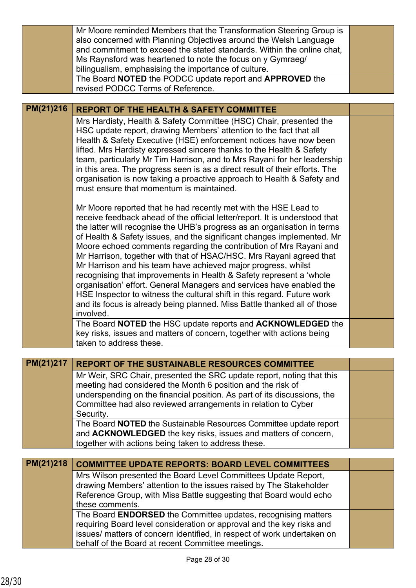|           | Mr Moore reminded Members that the Transformation Steering Group is<br>also concerned with Planning Objectives around the Welsh Language<br>and commitment to exceed the stated standards. Within the online chat,<br>Ms Raynsford was heartened to note the focus on y Gymraeg/<br>bilingualism, emphasising the importance of culture.<br>The Board NOTED the PODCC update report and APPROVED the                                                                                                                                                                                                                                                                                                                                                                                                                                  |  |
|-----------|---------------------------------------------------------------------------------------------------------------------------------------------------------------------------------------------------------------------------------------------------------------------------------------------------------------------------------------------------------------------------------------------------------------------------------------------------------------------------------------------------------------------------------------------------------------------------------------------------------------------------------------------------------------------------------------------------------------------------------------------------------------------------------------------------------------------------------------|--|
|           | revised PODCC Terms of Reference.                                                                                                                                                                                                                                                                                                                                                                                                                                                                                                                                                                                                                                                                                                                                                                                                     |  |
| PM(21)216 | <b>REPORT OF THE HEALTH &amp; SAFETY COMMITTEE</b>                                                                                                                                                                                                                                                                                                                                                                                                                                                                                                                                                                                                                                                                                                                                                                                    |  |
|           | Mrs Hardisty, Health & Safety Committee (HSC) Chair, presented the                                                                                                                                                                                                                                                                                                                                                                                                                                                                                                                                                                                                                                                                                                                                                                    |  |
|           | HSC update report, drawing Members' attention to the fact that all<br>Health & Safety Executive (HSE) enforcement notices have now been<br>lifted. Mrs Hardisty expressed sincere thanks to the Health & Safety<br>team, particularly Mr Tim Harrison, and to Mrs Rayani for her leadership<br>in this area. The progress seen is as a direct result of their efforts. The<br>organisation is now taking a proactive approach to Health & Safety and<br>must ensure that momentum is maintained.                                                                                                                                                                                                                                                                                                                                      |  |
|           | Mr Moore reported that he had recently met with the HSE Lead to<br>receive feedback ahead of the official letter/report. It is understood that<br>the latter will recognise the UHB's progress as an organisation in terms<br>of Health & Safety issues, and the significant changes implemented. Mr<br>Moore echoed comments regarding the contribution of Mrs Rayani and<br>Mr Harrison, together with that of HSAC/HSC. Mrs Rayani agreed that<br>Mr Harrison and his team have achieved major progress, whilst<br>recognising that improvements in Health & Safety represent a 'whole<br>organisation' effort. General Managers and services have enabled the<br>HSE Inspector to witness the cultural shift in this regard. Future work<br>and its focus is already being planned. Miss Battle thanked all of those<br>involved. |  |
|           | The Board NOTED the HSC update reports and ACKNOWLEDGED the<br>key risks, issues and matters of concern, together with actions being<br>taken to address these.                                                                                                                                                                                                                                                                                                                                                                                                                                                                                                                                                                                                                                                                       |  |
|           |                                                                                                                                                                                                                                                                                                                                                                                                                                                                                                                                                                                                                                                                                                                                                                                                                                       |  |
| PM(21)217 | <b>REPORT OF THE SUSTAINABLE RESOURCES COMMITTEE</b>                                                                                                                                                                                                                                                                                                                                                                                                                                                                                                                                                                                                                                                                                                                                                                                  |  |
|           | Mr Weir, SRC Chair, presented the SRC update report, noting that this<br>meeting had considered the Month 6 position and the risk of                                                                                                                                                                                                                                                                                                                                                                                                                                                                                                                                                                                                                                                                                                  |  |
|           | underspending on the financial position. As part of its discussions, the<br>Committee had also reviewed arrangements in relation to Cyber<br>Security.                                                                                                                                                                                                                                                                                                                                                                                                                                                                                                                                                                                                                                                                                |  |
|           | The Board NOTED the Sustainable Resources Committee update report<br>and ACKNOWLEDGED the key risks, issues and matters of concern,<br>together with actions being taken to address these.                                                                                                                                                                                                                                                                                                                                                                                                                                                                                                                                                                                                                                            |  |
| PM(21)218 | <b>COMMITTEE UPDATE REPORTS: BOARD LEVEL COMMITTEES</b>                                                                                                                                                                                                                                                                                                                                                                                                                                                                                                                                                                                                                                                                                                                                                                               |  |
|           | Mrs Wilson presented the Board Level Committees Update Report,                                                                                                                                                                                                                                                                                                                                                                                                                                                                                                                                                                                                                                                                                                                                                                        |  |
|           | drawing Members' attention to the issues raised by The Stakeholder<br>Reference Group, with Miss Battle suggesting that Board would echo<br>these comments.                                                                                                                                                                                                                                                                                                                                                                                                                                                                                                                                                                                                                                                                           |  |
|           | The Board ENDORSED the Committee updates, recognising matters<br>requiring Board level consideration or approval and the key risks and<br>issues/ matters of concern identified, in respect of work undertaken on<br>behalf of the Board at recent Committee meetings.                                                                                                                                                                                                                                                                                                                                                                                                                                                                                                                                                                |  |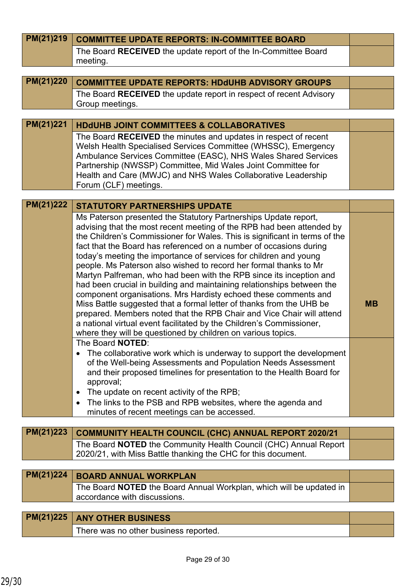| PM(21)219 | <b>COMMITTEE UPDATE REPORTS: IN-COMMITTEE BOARD</b>                                                                                                 |           |
|-----------|-----------------------------------------------------------------------------------------------------------------------------------------------------|-----------|
|           | The Board RECEIVED the update report of the In-Committee Board                                                                                      |           |
|           | meeting.                                                                                                                                            |           |
| PM(21)220 |                                                                                                                                                     |           |
|           | <b>COMMITTEE UPDATE REPORTS: HDdUHB ADVISORY GROUPS</b>                                                                                             |           |
|           | The Board RECEIVED the update report in respect of recent Advisory<br>Group meetings.                                                               |           |
|           |                                                                                                                                                     |           |
| PM(21)221 | <b>HDdUHB JOINT COMMITTEES &amp; COLLABORATIVES</b>                                                                                                 |           |
|           | The Board RECEIVED the minutes and updates in respect of recent                                                                                     |           |
|           | Welsh Health Specialised Services Committee (WHSSC), Emergency                                                                                      |           |
|           | Ambulance Services Committee (EASC), NHS Wales Shared Services<br>Partnership (NWSSP) Committee, Mid Wales Joint Committee for                      |           |
|           | Health and Care (MWJC) and NHS Wales Collaborative Leadership                                                                                       |           |
|           | Forum (CLF) meetings.                                                                                                                               |           |
|           |                                                                                                                                                     |           |
| PM(21)222 | <b>STATUTORY PARTNERSHIPS UPDATE</b>                                                                                                                |           |
|           | Ms Paterson presented the Statutory Partnerships Update report,                                                                                     |           |
|           | advising that the most recent meeting of the RPB had been attended by<br>the Children's Commissioner for Wales. This is significant in terms of the |           |
|           | fact that the Board has referenced on a number of occasions during                                                                                  |           |
|           | today's meeting the importance of services for children and young                                                                                   |           |
|           | people. Ms Paterson also wished to record her formal thanks to Mr                                                                                   |           |
|           | Martyn Palfreman, who had been with the RPB since its inception and<br>had been crucial in building and maintaining relationships between the       |           |
|           | component organisations. Mrs Hardisty echoed these comments and                                                                                     |           |
|           | Miss Battle suggested that a formal letter of thanks from the UHB be                                                                                | <b>MB</b> |
|           | prepared. Members noted that the RPB Chair and Vice Chair will attend                                                                               |           |
|           | a national virtual event facilitated by the Children's Commissioner,                                                                                |           |
|           | where they will be questioned by children on various topics.<br>The Board NOTED:                                                                    |           |
|           | The collaborative work which is underway to support the development<br>$\bullet$                                                                    |           |
|           | of the Well-being Assessments and Population Needs Assessment                                                                                       |           |
|           | and their proposed timelines for presentation to the Health Board for                                                                               |           |
|           | approval;<br>The update on recent activity of the RPB;                                                                                              |           |
|           | ٠<br>The links to the PSB and RPB websites, where the agenda and<br>$\bullet$                                                                       |           |
|           | minutes of recent meetings can be accessed.                                                                                                         |           |
|           |                                                                                                                                                     |           |
| PM(21)223 | <b>COMMUNITY HEALTH COUNCIL (CHC) ANNUAL REPORT 2020/21</b>                                                                                         |           |
|           | The Board <b>NOTED</b> the Community Health Council (CHC) Annual Report                                                                             |           |
|           | 2020/21, with Miss Battle thanking the CHC for this document.                                                                                       |           |
| PM(21)224 | <b>BOARD ANNUAL WORKPLAN</b>                                                                                                                        |           |
|           | The Board NOTED the Board Annual Workplan, which will be updated in                                                                                 |           |
|           | accordance with discussions.                                                                                                                        |           |
|           |                                                                                                                                                     |           |
| PM(21)225 | <b>ANY OTHER BUSINESS</b>                                                                                                                           |           |
|           | There was no other business reported.                                                                                                               |           |
|           |                                                                                                                                                     |           |